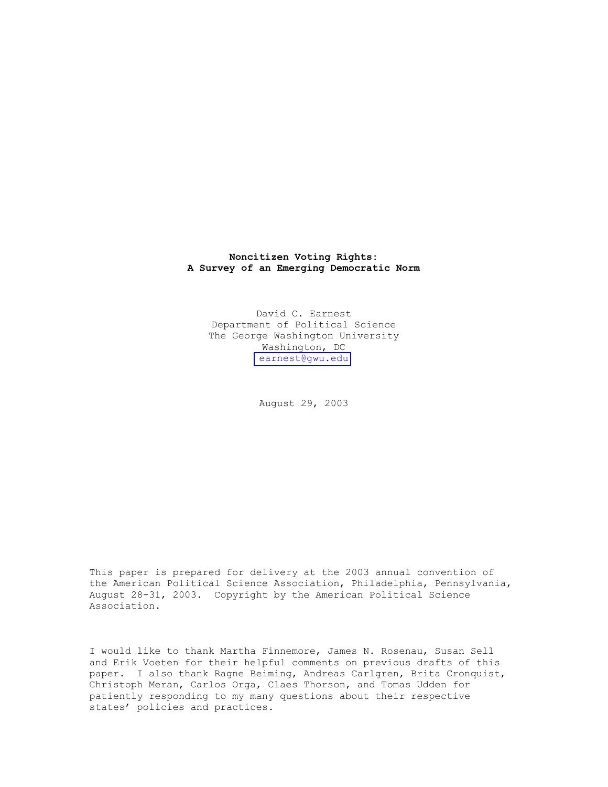### **Noncitizen Voting Rights: A Survey of an Emerging Democratic Norm**

David C. Earnest Department of Political Science The George Washington University Washington, DC [earnest@gwu.edu](mailto:earnest@gwu.edu) 

August 29, 2003

This paper is prepared for delivery at the 2003 annual convention of the American Political Science Association, Philadelphia, Pennsylvania, August 28-31, 2003. Copyright by the American Political Science Association.

I would like to thank Martha Finnemore, James N. Rosenau, Susan Sell and Erik Voeten for their helpful comments on previous drafts of this paper. I also thank Ragne Beiming, Andreas Carlgren, Brita Cronquist, Christoph Meran, Carlos Orga, Claes Thorson, and Tomas Udden for patiently responding to my many questions about their respective states' policies and practices.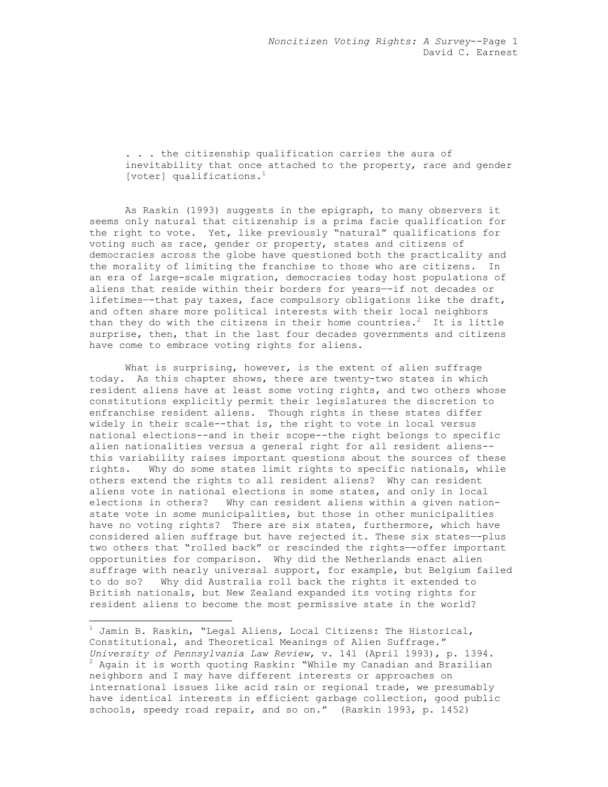. . . the citizenship qualification carries the aura of inevitability that once attached to the property, race and gender [voter] qualifications.<sup>1</sup>

As Raskin (1993) suggests in the epigraph, to many observers it seems only natural that citizenship is a prima facie qualification for the right to vote. Yet, like previously "natural" qualifications for voting such as race, gender or property, states and citizens of democracies across the globe have questioned both the practicality and the morality of limiting the franchise to those who are citizens. In an era of large-scale migration, democracies today host populations of aliens that reside within their borders for years—-if not decades or lifetimes—-that pay taxes, face compulsory obligations like the draft, and often share more political interests with their local neighbors than they do with the citizens in their home countries.<sup>2</sup> It is little surprise, then, that in the last four decades governments and citizens have come to embrace voting rights for aliens.

What is surprising, however, is the extent of alien suffrage today. As this chapter shows, there are twenty-two states in which resident aliens have at least some voting rights, and two others whose constitutions explicitly permit their legislatures the discretion to enfranchise resident aliens. Though rights in these states differ widely in their scale--that is, the right to vote in local versus national elections--and in their scope--the right belongs to specific alien nationalities versus a general right for all resident aliens- this variability raises important questions about the sources of these rights. Why do some states limit rights to specific nationals, while others extend the rights to all resident aliens? Why can resident aliens vote in national elections in some states, and only in local elections in others? Why can resident aliens within a given nationstate vote in some municipalities, but those in other municipalities have no voting rights? There are six states, furthermore, which have considered alien suffrage but have rejected it. These six states—-plus two others that "rolled back" or rescinded the rights—-offer important opportunities for comparison. Why did the Netherlands enact alien suffrage with nearly universal support, for example, but Belgium failed to do so? Why did Australia roll back the rights it extended to British nationals, but New Zealand expanded its voting rights for resident aliens to become the most permissive state in the world?

 $\overline{a}$ 

 $^{\rm 1}$  Jamin B. Raskin, "Legal Aliens, Local Citizens: The Historical, Constitutional, and Theoretical Meanings of Alien Suffrage." *University of Pennsylvania Law Review*, v. 141 (April 1993), p. 1394. 2  $2$  Again it is worth quoting Raskin: "While my Canadian and Brazilian neighbors and I may have different interests or approaches on international issues like acid rain or regional trade, we presumably have identical interests in efficient garbage collection, good public schools, speedy road repair, and so on." (Raskin 1993, p. 1452)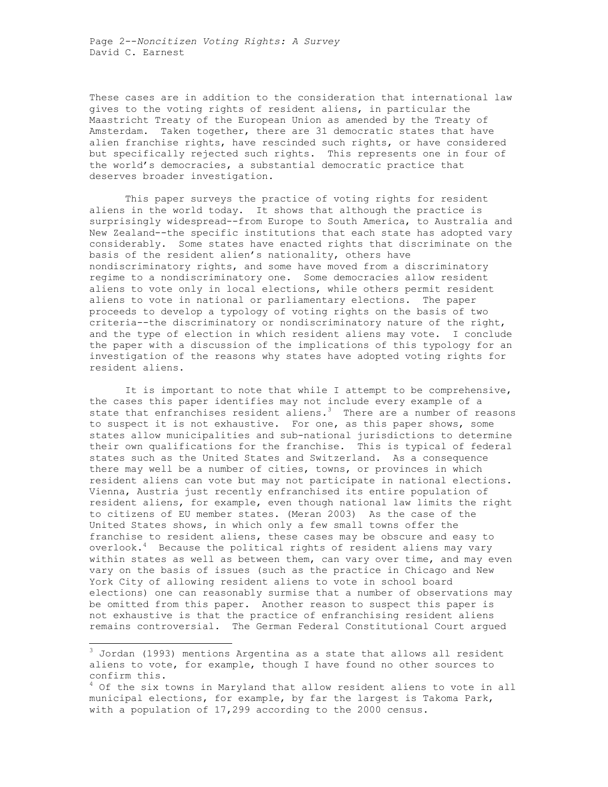Page 2--*Noncitizen Voting Rights: A Survey*  David C. Earnest

These cases are in addition to the consideration that international law gives to the voting rights of resident aliens, in particular the Maastricht Treaty of the European Union as amended by the Treaty of Amsterdam. Taken together, there are 31 democratic states that have alien franchise rights, have rescinded such rights, or have considered but specifically rejected such rights. This represents one in four of the world's democracies, a substantial democratic practice that deserves broader investigation.

This paper surveys the practice of voting rights for resident aliens in the world today. It shows that although the practice is surprisingly widespread--from Europe to South America, to Australia and New Zealand--the specific institutions that each state has adopted vary considerably. Some states have enacted rights that discriminate on the basis of the resident alien's nationality, others have nondiscriminatory rights, and some have moved from a discriminatory regime to a nondiscriminatory one. Some democracies allow resident aliens to vote only in local elections, while others permit resident aliens to vote in national or parliamentary elections. The paper proceeds to develop a typology of voting rights on the basis of two criteria--the discriminatory or nondiscriminatory nature of the right, and the type of election in which resident aliens may vote. I conclude the paper with a discussion of the implications of this typology for an investigation of the reasons why states have adopted voting rights for resident aliens.

It is important to note that while I attempt to be comprehensive, the cases this paper identifies may not include every example of a state that enfranchises resident aliens.<sup>3</sup> There are a number of reasons to suspect it is not exhaustive. For one, as this paper shows, some states allow municipalities and sub-national jurisdictions to determine their own qualifications for the franchise. This is typical of federal states such as the United States and Switzerland. As a consequence there may well be a number of cities, towns, or provinces in which resident aliens can vote but may not participate in national elections. Vienna, Austria just recently enfranchised its entire population of resident aliens, for example, even though national law limits the right to citizens of EU member states. (Meran 2003) As the case of the United States shows, in which only a few small towns offer the franchise to resident aliens, these cases may be obscure and easy to overlook.<sup>4</sup> Because the political rights of resident aliens may vary within states as well as between them, can vary over time, and may even vary on the basis of issues (such as the practice in Chicago and New York City of allowing resident aliens to vote in school board elections) one can reasonably surmise that a number of observations may be omitted from this paper. Another reason to suspect this paper is not exhaustive is that the practice of enfranchising resident aliens remains controversial. The German Federal Constitutional Court argued

 $\overline{a}$ 

<sup>&</sup>lt;sup>3</sup> Jordan (1993) mentions Argentina as a state that allows all resident aliens to vote, for example, though I have found no other sources to confirm this.

<sup>&</sup>lt;sup>4</sup> Of the six towns in Maryland that allow resident aliens to vote in all municipal elections, for example, by far the largest is Takoma Park, with a population of 17,299 according to the 2000 census.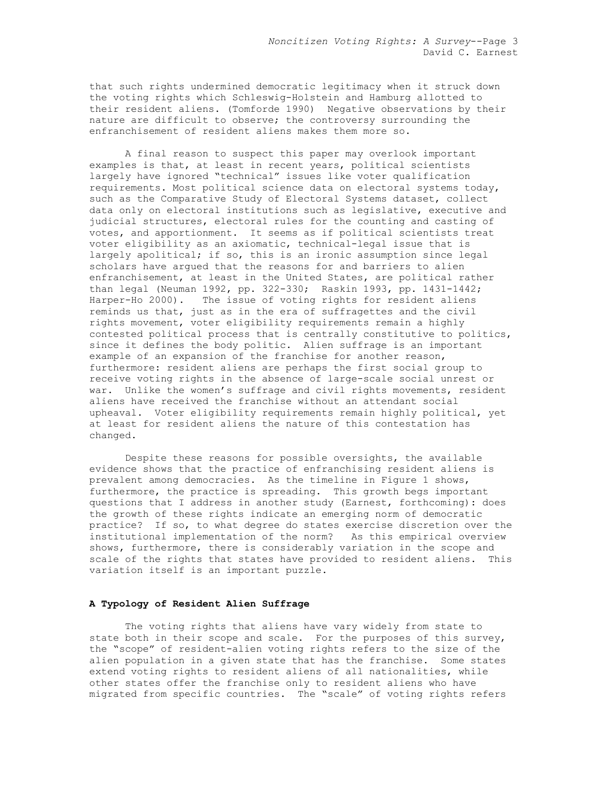that such rights undermined democratic legitimacy when it struck down the voting rights which Schleswig-Holstein and Hamburg allotted to their resident aliens. (Tomforde 1990) Negative observations by their nature are difficult to observe; the controversy surrounding the enfranchisement of resident aliens makes them more so.

A final reason to suspect this paper may overlook important examples is that, at least in recent years, political scientists largely have ignored "technical" issues like voter qualification requirements. Most political science data on electoral systems today, such as the Comparative Study of Electoral Systems dataset, collect data only on electoral institutions such as legislative, executive and judicial structures, electoral rules for the counting and casting of votes, and apportionment. It seems as if political scientists treat voter eligibility as an axiomatic, technical-legal issue that is largely apolitical; if so, this is an ironic assumption since legal scholars have argued that the reasons for and barriers to alien enfranchisement, at least in the United States, are political rather than legal (Neuman 1992, pp. 322-330; Raskin 1993, pp. 1431-1442; Harper-Ho 2000). The issue of voting rights for resident aliens reminds us that, just as in the era of suffragettes and the civil rights movement, voter eligibility requirements remain a highly contested political process that is centrally constitutive to politics, since it defines the body politic. Alien suffrage is an important example of an expansion of the franchise for another reason, furthermore: resident aliens are perhaps the first social group to receive voting rights in the absence of large-scale social unrest or war. Unlike the women's suffrage and civil rights movements, resident aliens have received the franchise without an attendant social upheaval. Voter eligibility requirements remain highly political, yet at least for resident aliens the nature of this contestation has changed.

Despite these reasons for possible oversights, the available evidence shows that the practice of enfranchising resident aliens is prevalent among democracies. As the timeline in Figure 1 shows, furthermore, the practice is spreading. This growth begs important questions that I address in another study (Earnest, forthcoming): does the growth of these rights indicate an emerging norm of democratic practice? If so, to what degree do states exercise discretion over the institutional implementation of the norm? As this empirical overview shows, furthermore, there is considerably variation in the scope and scale of the rights that states have provided to resident aliens. This variation itself is an important puzzle.

#### **A Typology of Resident Alien Suffrage**

The voting rights that aliens have vary widely from state to state both in their scope and scale. For the purposes of this survey, the "scope" of resident-alien voting rights refers to the size of the alien population in a given state that has the franchise. Some states extend voting rights to resident aliens of all nationalities, while other states offer the franchise only to resident aliens who have migrated from specific countries. The "scale" of voting rights refers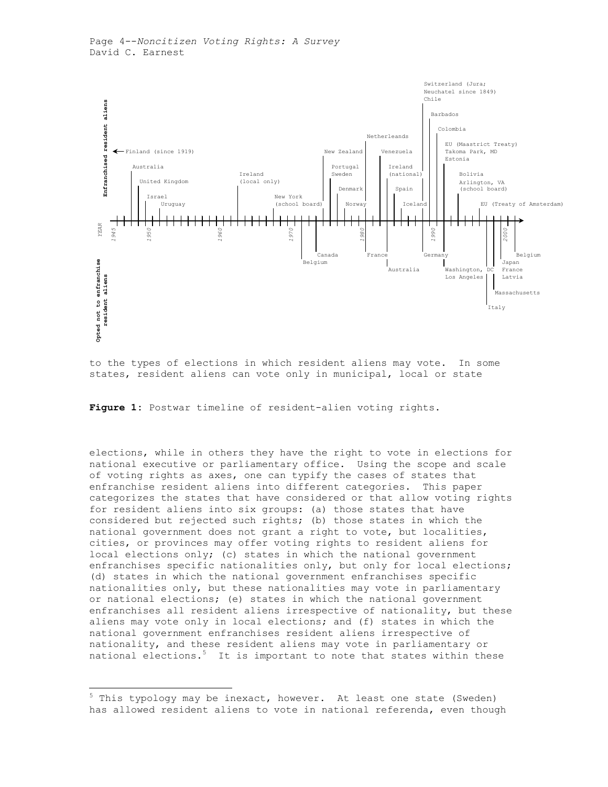

to the types of elections in which resident aliens may vote. In some states, resident aliens can vote only in municipal, local or state

**Figure 1:** Postwar timeline of resident-alien voting rights.

elections, while in others they have the right to vote in elections for national executive or parliamentary office. Using the scope and scale of voting rights as axes, one can typify the cases of states that enfranchise resident aliens into different categories. This paper categorizes the states that have considered or that allow voting rights for resident aliens into six groups: (a) those states that have considered but rejected such rights; (b) those states in which the national government does not grant a right to vote, but localities, cities, or provinces may offer voting rights to resident aliens for local elections only; (c) states in which the national government enfranchises specific nationalities only, but only for local elections; (d) states in which the national government enfranchises specific nationalities only, but these nationalities may vote in parliamentary or national elections; (e) states in which the national government enfranchises all resident aliens irrespective of nationality, but these aliens may vote only in local elections; and (f) states in which the national government enfranchises resident aliens irrespective of nationality, and these resident aliens may vote in parliamentary or national elections.<sup>5</sup> It is important to note that states within these

<sup>&</sup>lt;sup>5</sup> This typology may be inexact, however. At least one state (Sweden) has allowed resident aliens to vote in national referenda, even though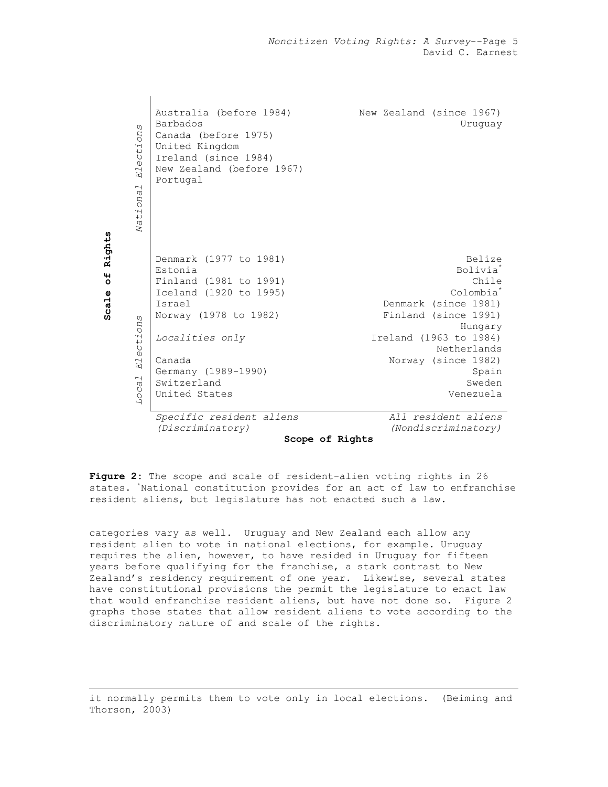*Noncitizen Voting Rights: A Survey*--Page 5 David C. Earnest

| U)<br>Election<br>National                                                              | Australia (before 1984)<br>Barbados<br>Canada (before 1975)<br>United Kingdom<br>Ireland (since 1984)<br>New Zealand (before 1967)<br>Portugal                                                               | New Zealand (since 1967)<br>Uruguay                                                                                                                                                                                         |  |  |
|-----------------------------------------------------------------------------------------|--------------------------------------------------------------------------------------------------------------------------------------------------------------------------------------------------------------|-----------------------------------------------------------------------------------------------------------------------------------------------------------------------------------------------------------------------------|--|--|
| Rights<br>44<br>$\circ$<br>Scale<br>C)<br>Election<br>$\overline{\phantom{0}}$<br>Loca. | Denmark (1977 to 1981)<br>Estonia<br>Finland (1981 to 1991)<br>Iceland (1920 to 1995)<br>Israel<br>Norway (1978 to 1982)<br>Localities only<br>Canada<br>Germany (1989-1990)<br>Switzerland<br>United States | Belize<br>Bolivia <sup>*</sup><br>Chile<br>Colombia <sup>*</sup><br>Denmark (since 1981)<br>Finland (since 1991)<br>Hungary<br>Ireland (1963 to 1984)<br>Netherlands<br>Norway (since 1982)<br>Spain<br>Sweden<br>Venezuela |  |  |
|                                                                                         | Specific resident aliens<br>(Discriminatory)                                                                                                                                                                 | All resident aliens<br>(Nondiscriminatory)                                                                                                                                                                                  |  |  |
| Scope of Rights                                                                         |                                                                                                                                                                                                              |                                                                                                                                                                                                                             |  |  |

**Figure 2:** The scope and scale of resident-alien voting rights in 26 states. \* National constitution provides for an act of law to enfranchise resident aliens, but legislature has not enacted such a law.

categories vary as well. Uruguay and New Zealand each allow any resident alien to vote in national elections, for example. Uruguay requires the alien, however, to have resided in Uruguay for fifteen years before qualifying for the franchise, a stark contrast to New Zealand's residency requirement of one year. Likewise, several states have constitutional provisions the permit the legislature to enact law that would enfranchise resident aliens, but have not done so. Figure 2 graphs those states that allow resident aliens to vote according to the discriminatory nature of and scale of the rights.

it normally permits them to vote only in local elections. (Beiming and Thorson, 2003)

 $\overline{a}$ 

 $\mathbf{I}$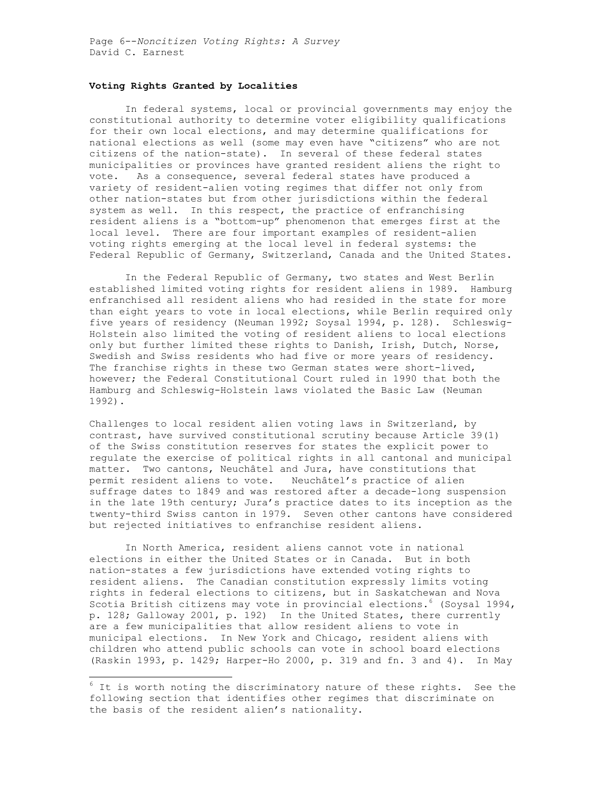### **Voting Rights Granted by Localities**

In federal systems, local or provincial governments may enjoy the constitutional authority to determine voter eligibility qualifications for their own local elections, and may determine qualifications for national elections as well (some may even have "citizens" who are not citizens of the nation-state). In several of these federal states municipalities or provinces have granted resident aliens the right to vote. As a consequence, several federal states have produced a variety of resident-alien voting regimes that differ not only from other nation-states but from other jurisdictions within the federal system as well. In this respect, the practice of enfranchising resident aliens is a "bottom-up" phenomenon that emerges first at the local level. There are four important examples of resident-alien voting rights emerging at the local level in federal systems: the Federal Republic of Germany, Switzerland, Canada and the United States.

 In the Federal Republic of Germany, two states and West Berlin established limited voting rights for resident aliens in 1989. Hamburg enfranchised all resident aliens who had resided in the state for more than eight years to vote in local elections, while Berlin required only five years of residency (Neuman 1992; Soysal 1994, p. 128). Schleswig-Holstein also limited the voting of resident aliens to local elections only but further limited these rights to Danish, Irish, Dutch, Norse, Swedish and Swiss residents who had five or more years of residency. The franchise rights in these two German states were short-lived, however; the Federal Constitutional Court ruled in 1990 that both the Hamburg and Schleswig-Holstein laws violated the Basic Law (Neuman 1992).

Challenges to local resident alien voting laws in Switzerland, by contrast, have survived constitutional scrutiny because Article 39(1) of the Swiss constitution reserves for states the explicit power to regulate the exercise of political rights in all cantonal and municipal matter. Two cantons, Neuchâtel and Jura, have constitutions that permit resident aliens to vote. Neuchâtel's practice of alien suffrage dates to 1849 and was restored after a decade-long suspension in the late 19th century; Jura's practice dates to its inception as the twenty-third Swiss canton in 1979. Seven other cantons have considered but rejected initiatives to enfranchise resident aliens.

 In North America, resident aliens cannot vote in national elections in either the United States or in Canada. But in both nation-states a few jurisdictions have extended voting rights to resident aliens. The Canadian constitution expressly limits voting rights in federal elections to citizens, but in Saskatchewan and Nova Scotia British citizens may vote in provincial elections.<sup>6</sup> (Soysal 1994, p. 128; Galloway 2001, p. 192) In the United States, there currently are a few municipalities that allow resident aliens to vote in municipal elections. In New York and Chicago, resident aliens with children who attend public schools can vote in school board elections (Raskin 1993, p. 1429; Harper-Ho 2000, p. 319 and fn. 3 and 4). In May

 $6$  It is worth noting the discriminatory nature of these rights. See the following section that identifies other regimes that discriminate on the basis of the resident alien's nationality.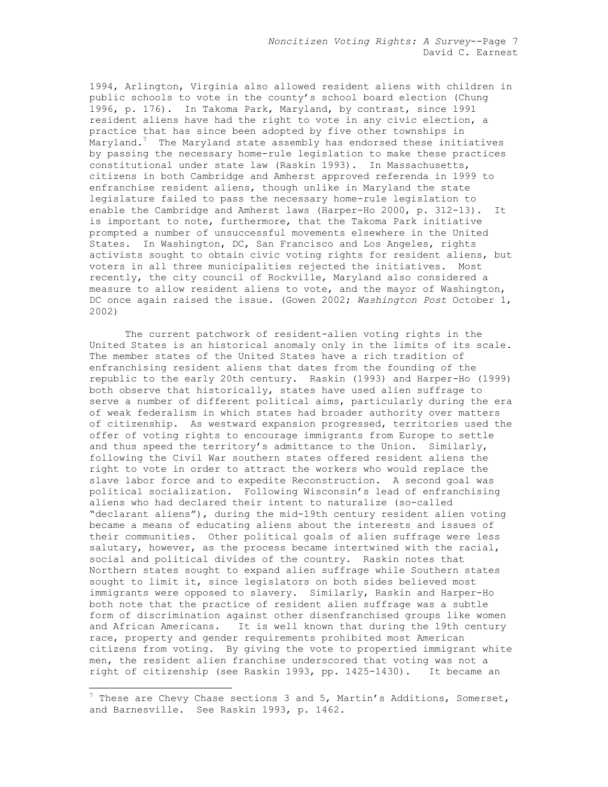1994, Arlington, Virginia also allowed resident aliens with children in public schools to vote in the county's school board election (Chung 1996, p. 176). In Takoma Park, Maryland, by contrast, since 1991 resident aliens have had the right to vote in any civic election, a practice that has since been adopted by five other townships in Maryland. $^7$  -The Maryland state assembly has endorsed these initiatives  $^{\circ}$ by passing the necessary home-rule legislation to make these practices constitutional under state law (Raskin 1993). In Massachusetts, citizens in both Cambridge and Amherst approved referenda in 1999 to enfranchise resident aliens, though unlike in Maryland the state legislature failed to pass the necessary home-rule legislation to enable the Cambridge and Amherst laws (Harper-Ho 2000, p. 312-13). It is important to note, furthermore, that the Takoma Park initiative prompted a number of unsuccessful movements elsewhere in the United States. In Washington, DC, San Francisco and Los Angeles, rights activists sought to obtain civic voting rights for resident aliens, but voters in all three municipalities rejected the initiatives. Most recently, the city council of Rockville, Maryland also considered a measure to allow resident aliens to vote, and the mayor of Washington, DC once again raised the issue. (Gowen 2002; *Washington Post* October 1, 2002)

 The current patchwork of resident-alien voting rights in the United States is an historical anomaly only in the limits of its scale. The member states of the United States have a rich tradition of enfranchising resident aliens that dates from the founding of the republic to the early 20th century. Raskin (1993) and Harper-Ho (1999) both observe that historically, states have used alien suffrage to serve a number of different political aims, particularly during the era of weak federalism in which states had broader authority over matters of citizenship. As westward expansion progressed, territories used the offer of voting rights to encourage immigrants from Europe to settle and thus speed the territory's admittance to the Union. Similarly, following the Civil War southern states offered resident aliens the right to vote in order to attract the workers who would replace the slave labor force and to expedite Reconstruction. A second goal was political socialization. Following Wisconsin's lead of enfranchising aliens who had declared their intent to naturalize (so-called "declarant aliens"), during the mid-19th century resident alien voting became a means of educating aliens about the interests and issues of their communities. Other political goals of alien suffrage were less salutary, however, as the process became intertwined with the racial, social and political divides of the country. Raskin notes that Northern states sought to expand alien suffrage while Southern states sought to limit it, since legislators on both sides believed most immigrants were opposed to slavery. Similarly, Raskin and Harper-Ho both note that the practice of resident alien suffrage was a subtle form of discrimination against other disenfranchised groups like women and African Americans. It is well known that during the 19th century race, property and gender requirements prohibited most American citizens from voting. By giving the vote to propertied immigrant white men, the resident alien franchise underscored that voting was not a right of citizenship (see Raskin 1993, pp. 1425-1430). It became an

 $\overline{a}$ 

 $^7$  These are Chevy Chase sections 3 and 5, Martin's Additions, Somerset, and Barnesville. See Raskin 1993, p. 1462.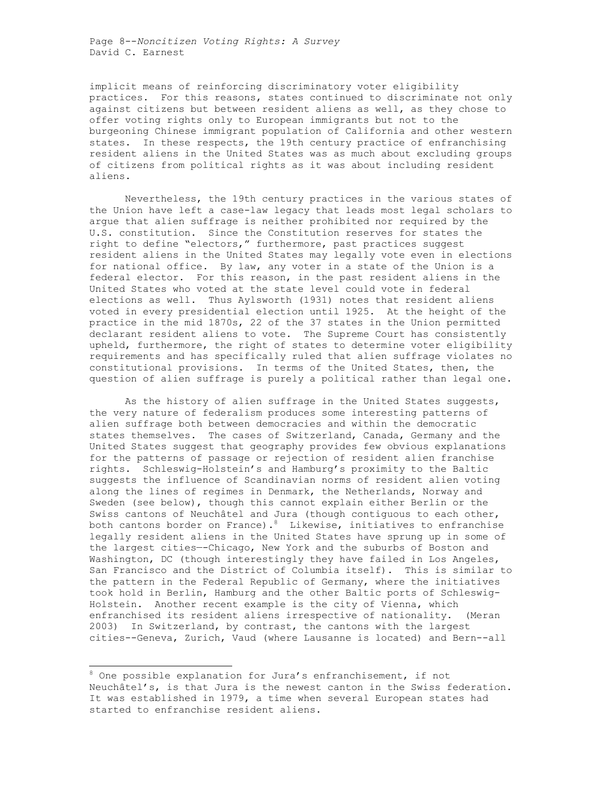Page 8--*Noncitizen Voting Rights: A Survey*  David C. Earnest

implicit means of reinforcing discriminatory voter eligibility practices. For this reasons, states continued to discriminate not only against citizens but between resident aliens as well, as they chose to offer voting rights only to European immigrants but not to the burgeoning Chinese immigrant population of California and other western states. In these respects, the 19th century practice of enfranchising resident aliens in the United States was as much about excluding groups of citizens from political rights as it was about including resident aliens.

 Nevertheless, the 19th century practices in the various states of the Union have left a case-law legacy that leads most legal scholars to argue that alien suffrage is neither prohibited nor required by the U.S. constitution. Since the Constitution reserves for states the right to define "electors," furthermore, past practices suggest resident aliens in the United States may legally vote even in elections for national office. By law, any voter in a state of the Union is a federal elector. For this reason, in the past resident aliens in the United States who voted at the state level could vote in federal elections as well. Thus Aylsworth (1931) notes that resident aliens voted in every presidential election until 1925. At the height of the practice in the mid 1870s, 22 of the 37 states in the Union permitted declarant resident aliens to vote. The Supreme Court has consistently upheld, furthermore, the right of states to determine voter eligibility requirements and has specifically ruled that alien suffrage violates no constitutional provisions. In terms of the United States, then, the question of alien suffrage is purely a political rather than legal one.

 As the history of alien suffrage in the United States suggests, the very nature of federalism produces some interesting patterns of alien suffrage both between democracies and within the democratic states themselves. The cases of Switzerland, Canada, Germany and the United States suggest that geography provides few obvious explanations for the patterns of passage or rejection of resident alien franchise rights. Schleswig-Holstein's and Hamburg's proximity to the Baltic suggests the influence of Scandinavian norms of resident alien voting along the lines of regimes in Denmark, the Netherlands, Norway and Sweden (see below), though this cannot explain either Berlin or the Swiss cantons of Neuchâtel and Jura (though contiguous to each other, both cantons border on France). $^8$  Likewise, initiatives to enfranchise legally resident aliens in the United States have sprung up in some of the largest cities—-Chicago, New York and the suburbs of Boston and Washington, DC (though interestingly they have failed in Los Angeles, San Francisco and the District of Columbia itself). This is similar to the pattern in the Federal Republic of Germany, where the initiatives took hold in Berlin, Hamburg and the other Baltic ports of Schleswig-Holstein. Another recent example is the city of Vienna, which enfranchised its resident aliens irrespective of nationality. (Meran 2003) In Switzerland, by contrast, the cantons with the largest cities--Geneva, Zurich, Vaud (where Lausanne is located) and Bern--all

<sup>&</sup>lt;sup>8</sup> One possible explanation for Jura's enfranchisement, if not Neuchâtel's, is that Jura is the newest canton in the Swiss federation. It was established in 1979, a time when several European states had started to enfranchise resident aliens.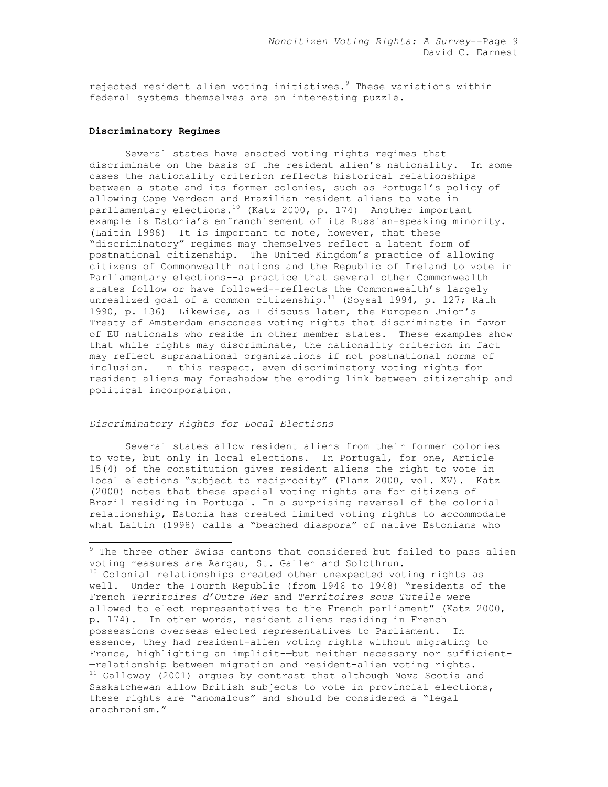rejected resident alien voting initiatives.<sup>9</sup> These variations within federal systems themselves are an interesting puzzle.

### **Discriminatory Regimes**

 Several states have enacted voting rights regimes that discriminate on the basis of the resident alien's nationality. In some cases the nationality criterion reflects historical relationships between a state and its former colonies, such as Portugal's policy of allowing Cape Verdean and Brazilian resident aliens to vote in parliamentary elections.10 (Katz 2000, p. 174) Another important example is Estonia's enfranchisement of its Russian-speaking minority. (Laitin 1998) It is important to note, however, that these "discriminatory" regimes may themselves reflect a latent form of postnational citizenship. The United Kingdom's practice of allowing citizens of Commonwealth nations and the Republic of Ireland to vote in Parliamentary elections--a practice that several other Commonwealth states follow or have followed--reflects the Commonwealth's largely unrealized goal of a common citizenship. $^{11}$  (Soysal 1994, p. 127; Rath 1990, p. 136) Likewise, as I discuss later, the European Union's Treaty of Amsterdam ensconces voting rights that discriminate in favor of EU nationals who reside in other member states. These examples show that while rights may discriminate, the nationality criterion in fact may reflect supranational organizations if not postnational norms of inclusion. In this respect, even discriminatory voting rights for resident aliens may foreshadow the eroding link between citizenship and political incorporation.

### *Discriminatory Rights for Local Elections*

Several states allow resident aliens from their former colonies to vote, but only in local elections. In Portugal, for one, Article 15(4) of the constitution gives resident aliens the right to vote in local elections "subject to reciprocity" (Flanz 2000, vol. XV). Katz (2000) notes that these special voting rights are for citizens of Brazil residing in Portugal. In a surprising reversal of the colonial relationship, Estonia has created limited voting rights to accommodate what Laitin (1998) calls a "beached diaspora" of native Estonians who

 9 The three other Swiss cantons that considered but failed to pass alien voting measures are Aargau, St. Gallen and Solothrun.

<sup>&</sup>lt;sup>10</sup> Colonial relationships created other unexpected voting rights as well. Under the Fourth Republic (from 1946 to 1948) "residents of the French *Territoires d'Outre Mer* and *Territoires sous Tutelle* were allowed to elect representatives to the French parliament" (Katz 2000, p. 174). In other words, resident aliens residing in French possessions overseas elected representatives to Parliament. In essence, they had resident-alien voting rights without migrating to France, highlighting an implicit-—but neither necessary nor sufficient- —relationship between migration and resident-alien voting rights.  $11$  Galloway (2001) argues by contrast that although Nova Scotia and Saskatchewan allow British subjects to vote in provincial elections, these rights are "anomalous" and should be considered a "legal anachronism."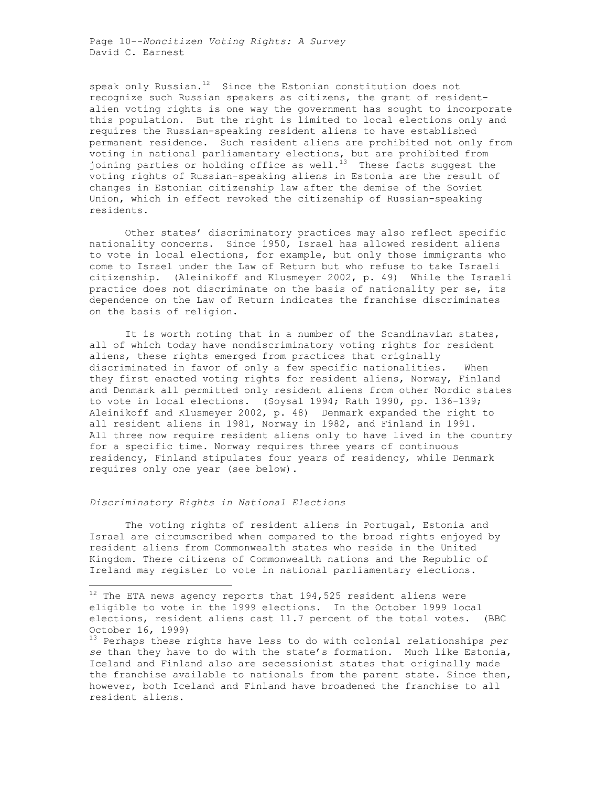Page 10--*Noncitizen Voting Rights: A Survey*  David C. Earnest

speak only Russian. $12$  Since the Estonian constitution does not recognize such Russian speakers as citizens, the grant of residentalien voting rights is one way the government has sought to incorporate this population. But the right is limited to local elections only and requires the Russian-speaking resident aliens to have established permanent residence. Such resident aliens are prohibited not only from voting in national parliamentary elections, but are prohibited from joining parties or holding office as well.<sup>13</sup> These facts suggest the voting rights of Russian-speaking aliens in Estonia are the result of changes in Estonian citizenship law after the demise of the Soviet Union, which in effect revoked the citizenship of Russian-speaking residents.

Other states' discriminatory practices may also reflect specific nationality concerns. Since 1950, Israel has allowed resident aliens to vote in local elections, for example, but only those immigrants who come to Israel under the Law of Return but who refuse to take Israeli citizenship. (Aleinikoff and Klusmeyer 2002, p. 49) While the Israeli practice does not discriminate on the basis of nationality per se, its dependence on the Law of Return indicates the franchise discriminates on the basis of religion.

It is worth noting that in a number of the Scandinavian states, all of which today have nondiscriminatory voting rights for resident aliens, these rights emerged from practices that originally discriminated in favor of only a few specific nationalities. When they first enacted voting rights for resident aliens, Norway, Finland and Denmark all permitted only resident aliens from other Nordic states to vote in local elections. (Soysal 1994; Rath 1990, pp. 136-139; Aleinikoff and Klusmeyer 2002, p. 48) Denmark expanded the right to all resident aliens in 1981, Norway in 1982, and Finland in 1991. All three now require resident aliens only to have lived in the country for a specific time. Norway requires three years of continuous residency, Finland stipulates four years of residency, while Denmark requires only one year (see below).

# *Discriminatory Rights in National Elections*

 $\overline{a}$ 

The voting rights of resident aliens in Portugal, Estonia and Israel are circumscribed when compared to the broad rights enjoyed by resident aliens from Commonwealth states who reside in the United Kingdom. There citizens of Commonwealth nations and the Republic of Ireland may register to vote in national parliamentary elections.

 $^{12}$  The ETA news agency reports that 194,525 resident aliens were eligible to vote in the 1999 elections. In the October 1999 local elections, resident aliens cast 11.7 percent of the total votes. (BBC October 16, 1999)

<sup>13</sup> Perhaps these rights have less to do with colonial relationships *per se* than they have to do with the state's formation. Much like Estonia, Iceland and Finland also are secessionist states that originally made the franchise available to nationals from the parent state. Since then, however, both Iceland and Finland have broadened the franchise to all resident aliens.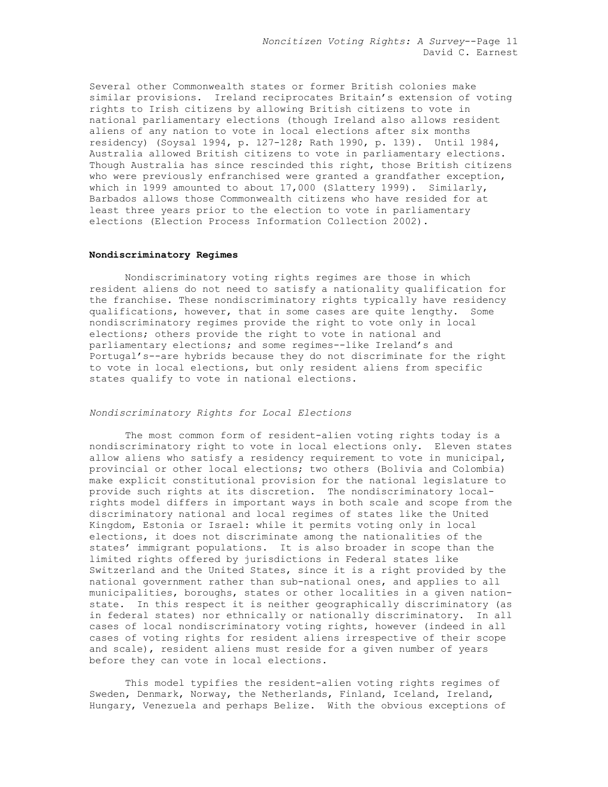Several other Commonwealth states or former British colonies make similar provisions. Ireland reciprocates Britain's extension of voting rights to Irish citizens by allowing British citizens to vote in national parliamentary elections (though Ireland also allows resident aliens of any nation to vote in local elections after six months residency) (Soysal 1994, p. 127-128; Rath 1990, p. 139). Until 1984, Australia allowed British citizens to vote in parliamentary elections. Though Australia has since rescinded this right, those British citizens who were previously enfranchised were granted a grandfather exception, which in 1999 amounted to about 17,000 (Slattery 1999). Similarly, Barbados allows those Commonwealth citizens who have resided for at least three years prior to the election to vote in parliamentary elections (Election Process Information Collection 2002).

### **Nondiscriminatory Regimes**

Nondiscriminatory voting rights regimes are those in which resident aliens do not need to satisfy a nationality qualification for the franchise. These nondiscriminatory rights typically have residency qualifications, however, that in some cases are quite lengthy. Some nondiscriminatory regimes provide the right to vote only in local elections; others provide the right to vote in national and parliamentary elections; and some regimes--like Ireland's and Portugal's--are hybrids because they do not discriminate for the right to vote in local elections, but only resident aliens from specific states qualify to vote in national elections.

### *Nondiscriminatory Rights for Local Elections*

 The most common form of resident-alien voting rights today is a nondiscriminatory right to vote in local elections only. Eleven states allow aliens who satisfy a residency requirement to vote in municipal, provincial or other local elections; two others (Bolivia and Colombia) make explicit constitutional provision for the national legislature to provide such rights at its discretion. The nondiscriminatory localrights model differs in important ways in both scale and scope from the discriminatory national and local regimes of states like the United Kingdom, Estonia or Israel: while it permits voting only in local elections, it does not discriminate among the nationalities of the states' immigrant populations. It is also broader in scope than the limited rights offered by jurisdictions in Federal states like Switzerland and the United States, since it is a right provided by the national government rather than sub-national ones, and applies to all municipalities, boroughs, states or other localities in a given nationstate. In this respect it is neither geographically discriminatory (as in federal states) nor ethnically or nationally discriminatory. In all cases of local nondiscriminatory voting rights, however (indeed in all cases of voting rights for resident aliens irrespective of their scope and scale), resident aliens must reside for a given number of years before they can vote in local elections.

 This model typifies the resident-alien voting rights regimes of Sweden, Denmark, Norway, the Netherlands, Finland, Iceland, Ireland, Hungary, Venezuela and perhaps Belize. With the obvious exceptions of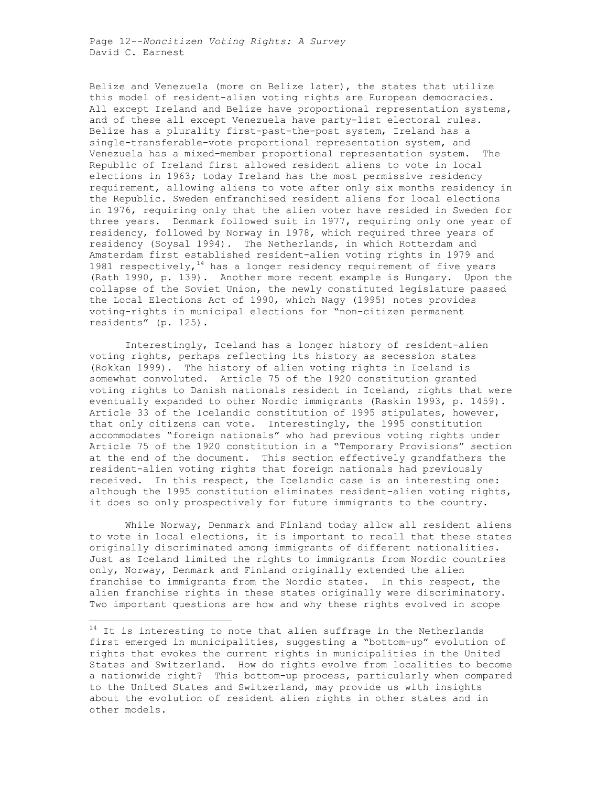Belize and Venezuela (more on Belize later), the states that utilize this model of resident-alien voting rights are European democracies. All except Ireland and Belize have proportional representation systems, and of these all except Venezuela have party-list electoral rules. Belize has a plurality first-past-the-post system, Ireland has a single-transferable-vote proportional representation system, and Venezuela has a mixed-member proportional representation system. The Republic of Ireland first allowed resident aliens to vote in local elections in 1963; today Ireland has the most permissive residency requirement, allowing aliens to vote after only six months residency in the Republic. Sweden enfranchised resident aliens for local elections in 1976, requiring only that the alien voter have resided in Sweden for three years. Denmark followed suit in 1977, requiring only one year of residency, followed by Norway in 1978, which required three years of residency (Soysal 1994). The Netherlands, in which Rotterdam and Amsterdam first established resident-alien voting rights in 1979 and 1981 respectively,  $14$  has a longer residency requirement of five years (Rath 1990, p. 139). Another more recent example is Hungary. Upon the collapse of the Soviet Union, the newly constituted legislature passed the Local Elections Act of 1990, which Nagy (1995) notes provides voting-rights in municipal elections for "non-citizen permanent residents" (p. 125).

 Interestingly, Iceland has a longer history of resident-alien voting rights, perhaps reflecting its history as secession states (Rokkan 1999). The history of alien voting rights in Iceland is somewhat convoluted. Article 75 of the 1920 constitution granted voting rights to Danish nationals resident in Iceland, rights that were eventually expanded to other Nordic immigrants (Raskin 1993, p. 1459). Article 33 of the Icelandic constitution of 1995 stipulates, however, that only citizens can vote. Interestingly, the 1995 constitution accommodates "foreign nationals" who had previous voting rights under Article 75 of the 1920 constitution in a "Temporary Provisions" section at the end of the document. This section effectively grandfathers the resident-alien voting rights that foreign nationals had previously received. In this respect, the Icelandic case is an interesting one: although the 1995 constitution eliminates resident-alien voting rights, it does so only prospectively for future immigrants to the country.

 While Norway, Denmark and Finland today allow all resident aliens to vote in local elections, it is important to recall that these states originally discriminated among immigrants of different nationalities. Just as Iceland limited the rights to immigrants from Nordic countries only, Norway, Denmark and Finland originally extended the alien franchise to immigrants from the Nordic states. In this respect, the alien franchise rights in these states originally were discriminatory. Two important questions are how and why these rights evolved in scope

 $14$  It is interesting to note that alien suffrage in the Netherlands first emerged in municipalities, suggesting a "bottom-up" evolution of rights that evokes the current rights in municipalities in the United States and Switzerland. How do rights evolve from localities to become a nationwide right? This bottom-up process, particularly when compared to the United States and Switzerland, may provide us with insights about the evolution of resident alien rights in other states and in other models.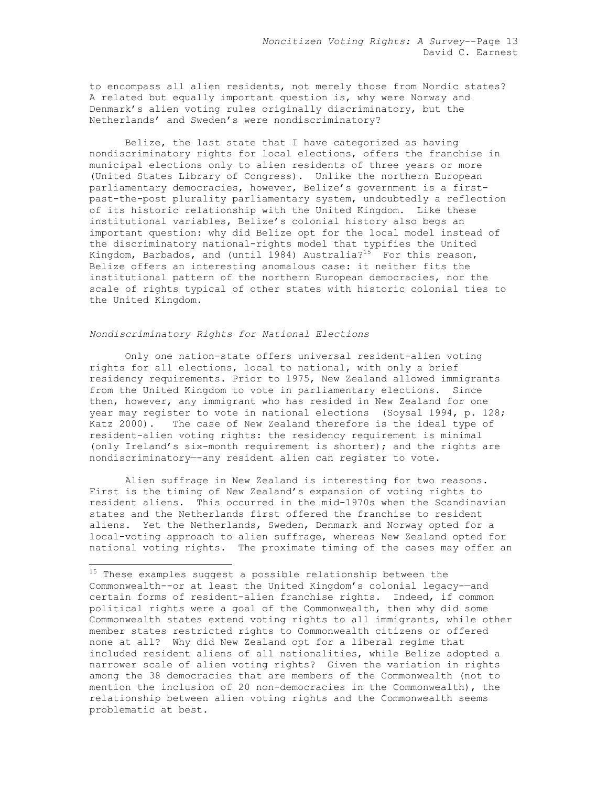to encompass all alien residents, not merely those from Nordic states? A related but equally important question is, why were Norway and Denmark's alien voting rules originally discriminatory, but the Netherlands' and Sweden's were nondiscriminatory?

 Belize, the last state that I have categorized as having nondiscriminatory rights for local elections, offers the franchise in municipal elections only to alien residents of three years or more (United States Library of Congress). Unlike the northern European parliamentary democracies, however, Belize's government is a firstpast-the-post plurality parliamentary system, undoubtedly a reflection of its historic relationship with the United Kingdom. Like these institutional variables, Belize's colonial history also begs an important question: why did Belize opt for the local model instead of the discriminatory national-rights model that typifies the United Kingdom, Barbados, and (until 1984) Australia?<sup>15</sup> For this reason, Belize offers an interesting anomalous case: it neither fits the institutional pattern of the northern European democracies, nor the scale of rights typical of other states with historic colonial ties to the United Kingdom.

# *Nondiscriminatory Rights for National Elections*

-

Only one nation-state offers universal resident-alien voting rights for all elections, local to national, with only a brief residency requirements. Prior to 1975, New Zealand allowed immigrants from the United Kingdom to vote in parliamentary elections. Since then, however, any immigrant who has resided in New Zealand for one year may register to vote in national elections (Soysal 1994, p. 128; Katz 2000). The case of New Zealand therefore is the ideal type of resident-alien voting rights: the residency requirement is minimal (only Ireland's six-month requirement is shorter); and the rights are nondiscriminatory—-any resident alien can register to vote.

 Alien suffrage in New Zealand is interesting for two reasons. First is the timing of New Zealand's expansion of voting rights to resident aliens. This occurred in the mid-1970s when the Scandinavian states and the Netherlands first offered the franchise to resident aliens. Yet the Netherlands, Sweden, Denmark and Norway opted for a local-voting approach to alien suffrage, whereas New Zealand opted for national voting rights. The proximate timing of the cases may offer an

 $^{15}$  These examples suggest a possible relationship between the Commonwealth--or at least the United Kingdom's colonial legacy-—and certain forms of resident-alien franchise rights. Indeed, if common political rights were a goal of the Commonwealth, then why did some Commonwealth states extend voting rights to all immigrants, while other member states restricted rights to Commonwealth citizens or offered none at all? Why did New Zealand opt for a liberal regime that included resident aliens of all nationalities, while Belize adopted a narrower scale of alien voting rights? Given the variation in rights among the 38 democracies that are members of the Commonwealth (not to mention the inclusion of 20 non-democracies in the Commonwealth), the relationship between alien voting rights and the Commonwealth seems problematic at best.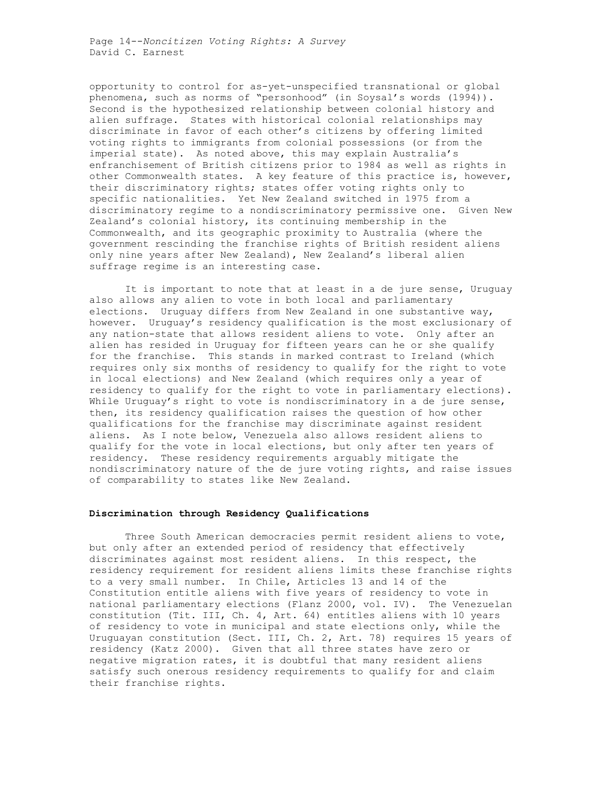Page 14--*Noncitizen Voting Rights: A Survey*  David C. Earnest

opportunity to control for as-yet-unspecified transnational or global phenomena, such as norms of "personhood" (in Soysal's words (1994)). Second is the hypothesized relationship between colonial history and alien suffrage. States with historical colonial relationships may discriminate in favor of each other's citizens by offering limited voting rights to immigrants from colonial possessions (or from the imperial state). As noted above, this may explain Australia's enfranchisement of British citizens prior to 1984 as well as rights in other Commonwealth states. A key feature of this practice is, however, their discriminatory rights; states offer voting rights only to specific nationalities. Yet New Zealand switched in 1975 from a discriminatory regime to a nondiscriminatory permissive one. Given New Zealand's colonial history, its continuing membership in the Commonwealth, and its geographic proximity to Australia (where the government rescinding the franchise rights of British resident aliens only nine years after New Zealand), New Zealand's liberal alien suffrage regime is an interesting case.

 It is important to note that at least in a de jure sense, Uruguay also allows any alien to vote in both local and parliamentary elections. Uruguay differs from New Zealand in one substantive way, however. Uruguay's residency qualification is the most exclusionary of any nation-state that allows resident aliens to vote. Only after an alien has resided in Uruguay for fifteen years can he or she qualify for the franchise. This stands in marked contrast to Ireland (which requires only six months of residency to qualify for the right to vote in local elections) and New Zealand (which requires only a year of residency to qualify for the right to vote in parliamentary elections). While Uruguay's right to vote is nondiscriminatory in a de jure sense, then, its residency qualification raises the question of how other qualifications for the franchise may discriminate against resident aliens. As I note below, Venezuela also allows resident aliens to qualify for the vote in local elections, but only after ten years of residency. These residency requirements arguably mitigate the nondiscriminatory nature of the de jure voting rights, and raise issues of comparability to states like New Zealand.

### **Discrimination through Residency Qualifications**

Three South American democracies permit resident aliens to vote, but only after an extended period of residency that effectively discriminates against most resident aliens. In this respect, the residency requirement for resident aliens limits these franchise rights to a very small number. In Chile, Articles 13 and 14 of the Constitution entitle aliens with five years of residency to vote in national parliamentary elections (Flanz 2000, vol. IV). The Venezuelan constitution (Tit. III, Ch. 4, Art. 64) entitles aliens with 10 years of residency to vote in municipal and state elections only, while the Uruguayan constitution (Sect. III, Ch. 2, Art. 78) requires 15 years of residency (Katz 2000). Given that all three states have zero or negative migration rates, it is doubtful that many resident aliens satisfy such onerous residency requirements to qualify for and claim their franchise rights.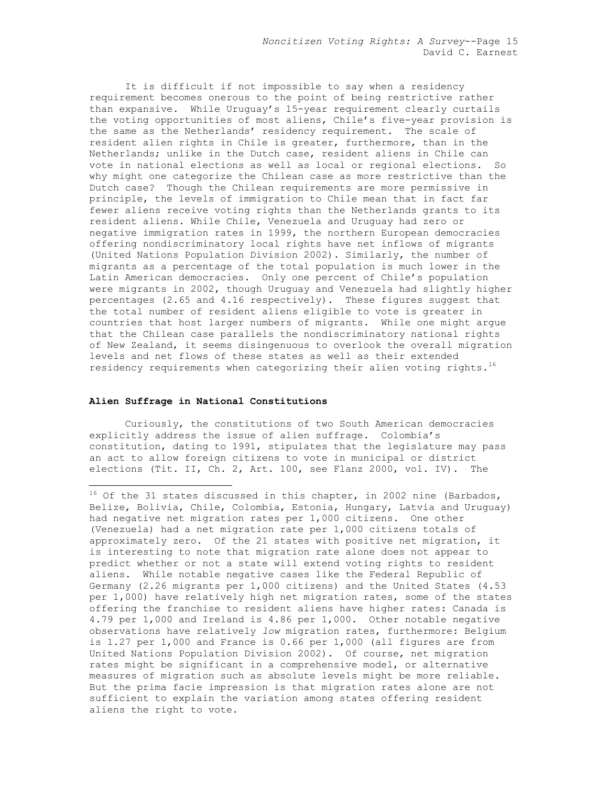It is difficult if not impossible to say when a residency requirement becomes onerous to the point of being restrictive rather than expansive. While Uruguay's 15-year requirement clearly curtails the voting opportunities of most aliens, Chile's five-year provision is the same as the Netherlands' residency requirement. The scale of resident alien rights in Chile is greater, furthermore, than in the Netherlands; unlike in the Dutch case, resident aliens in Chile can vote in national elections as well as local or regional elections. So why might one categorize the Chilean case as more restrictive than the Dutch case? Though the Chilean requirements are more permissive in principle, the levels of immigration to Chile mean that in fact far fewer aliens receive voting rights than the Netherlands grants to its resident aliens. While Chile, Venezuela and Uruguay had zero or negative immigration rates in 1999, the northern European democracies offering nondiscriminatory local rights have net inflows of migrants (United Nations Population Division 2002). Similarly, the number of migrants as a percentage of the total population is much lower in the Latin American democracies. Only one percent of Chile's population were migrants in 2002, though Uruguay and Venezuela had slightly higher percentages (2.65 and 4.16 respectively). These figures suggest that the total number of resident aliens eligible to vote is greater in countries that host larger numbers of migrants. While one might argue that the Chilean case parallels the nondiscriminatory national rights of New Zealand, it seems disingenuous to overlook the overall migration levels and net flows of these states as well as their extended residency requirements when categorizing their alien voting rights.<sup>16</sup>

### **Alien Suffrage in National Constitutions**

1

Curiously, the constitutions of two South American democracies explicitly address the issue of alien suffrage. Colombia's constitution, dating to 1991, stipulates that the legislature may pass an act to allow foreign citizens to vote in municipal or district elections (Tit. II, Ch. 2, Art. 100, see Flanz 2000, vol. IV). The

 $^{16}$  Of the 31 states discussed in this chapter, in 2002 nine (Barbados, Belize, Bolivia, Chile, Colombia, Estonia, Hungary, Latvia and Uruguay) had negative net migration rates per 1,000 citizens. One other (Venezuela) had a net migration rate per 1,000 citizens totals of approximately zero. Of the 21 states with positive net migration, it is interesting to note that migration rate alone does not appear to predict whether or not a state will extend voting rights to resident aliens. While notable negative cases like the Federal Republic of Germany (2.26 migrants per 1,000 citizens) and the United States (4.53 per 1,000) have relatively high net migration rates, some of the states offering the franchise to resident aliens have higher rates: Canada is 4.79 per 1,000 and Ireland is 4.86 per 1,000. Other notable negative observations have relatively *low* migration rates, furthermore: Belgium is 1.27 per 1,000 and France is 0.66 per 1,000 (all figures are from United Nations Population Division 2002). Of course, net migration rates might be significant in a comprehensive model, or alternative measures of migration such as absolute levels might be more reliable. But the prima facie impression is that migration rates alone are not sufficient to explain the variation among states offering resident aliens the right to vote.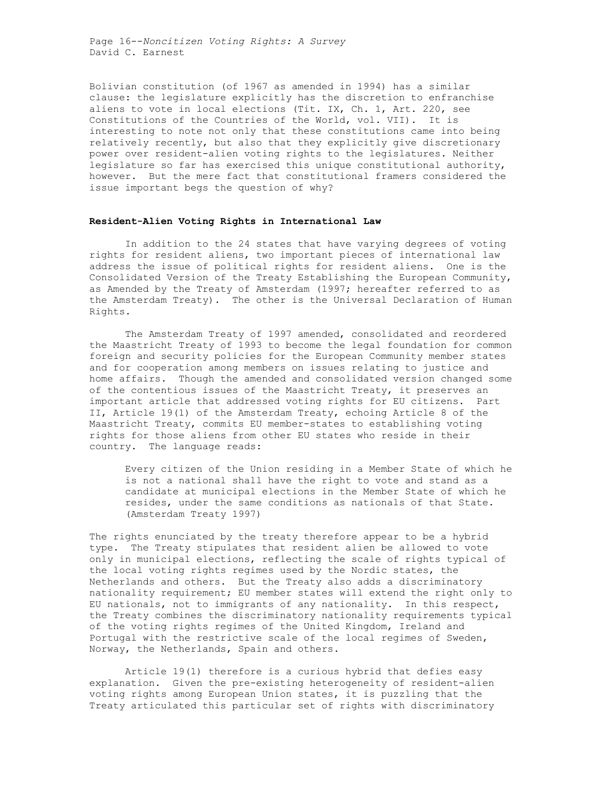Page 16--*Noncitizen Voting Rights: A Survey*  David C. Earnest

Bolivian constitution (of 1967 as amended in 1994) has a similar clause: the legislature explicitly has the discretion to enfranchise aliens to vote in local elections (Tit. IX, Ch. 1, Art. 220, see Constitutions of the Countries of the World, vol. VII). It is interesting to note not only that these constitutions came into being relatively recently, but also that they explicitly give discretionary power over resident-alien voting rights to the legislatures. Neither legislature so far has exercised this unique constitutional authority, however. But the mere fact that constitutional framers considered the issue important begs the question of why?

### **Resident-Alien Voting Rights in International Law**

In addition to the 24 states that have varying degrees of voting rights for resident aliens, two important pieces of international law address the issue of political rights for resident aliens. One is the Consolidated Version of the Treaty Establishing the European Community, as Amended by the Treaty of Amsterdam (1997; hereafter referred to as the Amsterdam Treaty). The other is the Universal Declaration of Human Rights.

 The Amsterdam Treaty of 1997 amended, consolidated and reordered the Maastricht Treaty of 1993 to become the legal foundation for common foreign and security policies for the European Community member states and for cooperation among members on issues relating to justice and home affairs. Though the amended and consolidated version changed some of the contentious issues of the Maastricht Treaty, it preserves an important article that addressed voting rights for EU citizens. Part II, Article 19(1) of the Amsterdam Treaty, echoing Article 8 of the Maastricht Treaty, commits EU member-states to establishing voting rights for those aliens from other EU states who reside in their country. The language reads:

Every citizen of the Union residing in a Member State of which he is not a national shall have the right to vote and stand as a candidate at municipal elections in the Member State of which he resides, under the same conditions as nationals of that State. (Amsterdam Treaty 1997)

The rights enunciated by the treaty therefore appear to be a hybrid type. The Treaty stipulates that resident alien be allowed to vote only in municipal elections, reflecting the scale of rights typical of the local voting rights regimes used by the Nordic states, the Netherlands and others. But the Treaty also adds a discriminatory nationality requirement; EU member states will extend the right only to EU nationals, not to immigrants of any nationality. In this respect, the Treaty combines the discriminatory nationality requirements typical of the voting rights regimes of the United Kingdom, Ireland and Portugal with the restrictive scale of the local regimes of Sweden, Norway, the Netherlands, Spain and others.

 Article 19(1) therefore is a curious hybrid that defies easy explanation. Given the pre-existing heterogeneity of resident-alien voting rights among European Union states, it is puzzling that the Treaty articulated this particular set of rights with discriminatory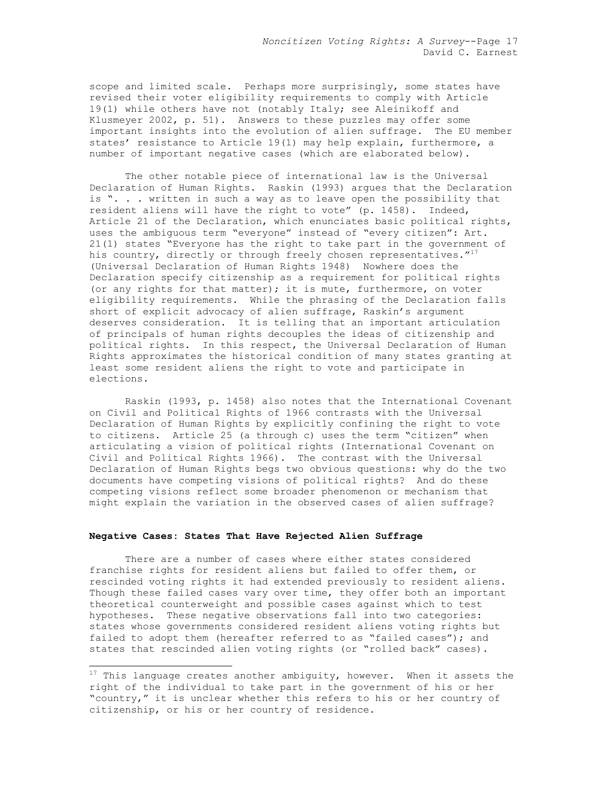scope and limited scale. Perhaps more surprisingly, some states have revised their voter eligibility requirements to comply with Article 19(1) while others have not (notably Italy; see Aleinikoff and Klusmeyer 2002, p. 51). Answers to these puzzles may offer some important insights into the evolution of alien suffrage. The EU member states' resistance to Article 19(1) may help explain, furthermore, a number of important negative cases (which are elaborated below).

 The other notable piece of international law is the Universal Declaration of Human Rights. Raskin (1993) argues that the Declaration is ". . . written in such a way as to leave open the possibility that resident aliens will have the right to vote" (p. 1458). Indeed, Article 21 of the Declaration, which enunciates basic political rights, uses the ambiguous term "everyone" instead of "every citizen": Art. 21(1) states "Everyone has the right to take part in the government of his country, directly or through freely chosen representatives. $''^{17}$ (Universal Declaration of Human Rights 1948) Nowhere does the Declaration specify citizenship as a requirement for political rights (or any rights for that matter); it is mute, furthermore, on voter eligibility requirements. While the phrasing of the Declaration falls short of explicit advocacy of alien suffrage, Raskin's argument deserves consideration. It is telling that an important articulation of principals of human rights decouples the ideas of citizenship and political rights. In this respect, the Universal Declaration of Human Rights approximates the historical condition of many states granting at least some resident aliens the right to vote and participate in elections.

 Raskin (1993, p. 1458) also notes that the International Covenant on Civil and Political Rights of 1966 contrasts with the Universal Declaration of Human Rights by explicitly confining the right to vote to citizens. Article 25 (a through c) uses the term "citizen" when articulating a vision of political rights (International Covenant on Civil and Political Rights 1966). The contrast with the Universal Declaration of Human Rights begs two obvious questions: why do the two documents have competing visions of political rights? And do these competing visions reflect some broader phenomenon or mechanism that might explain the variation in the observed cases of alien suffrage?

# **Negative Cases: States That Have Rejected Alien Suffrage**

-

There are a number of cases where either states considered franchise rights for resident aliens but failed to offer them, or rescinded voting rights it had extended previously to resident aliens. Though these failed cases vary over time, they offer both an important theoretical counterweight and possible cases against which to test hypotheses. These negative observations fall into two categories: states whose governments considered resident aliens voting rights but failed to adopt them (hereafter referred to as "failed cases"); and states that rescinded alien voting rights (or "rolled back" cases).

 $17$  This language creates another ambiguity, however. When it assets the right of the individual to take part in the government of his or her "country," it is unclear whether this refers to his or her country of citizenship, or his or her country of residence.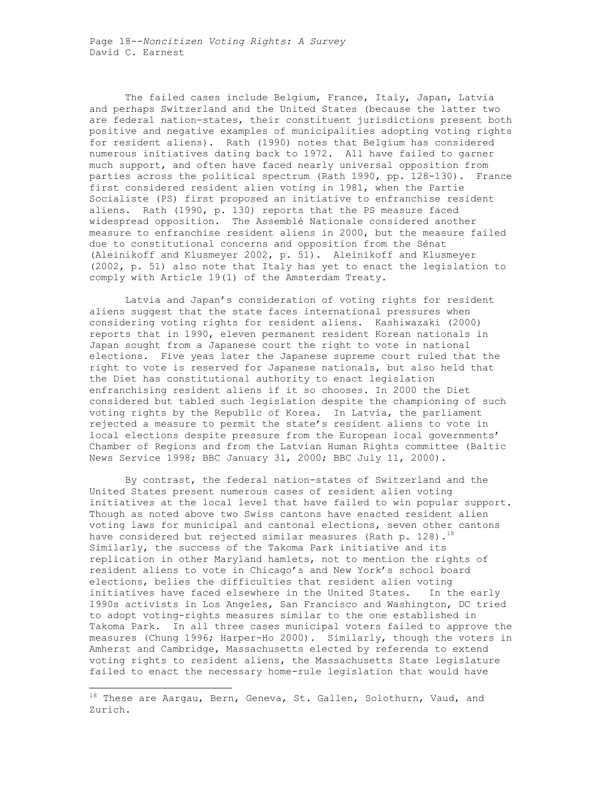The failed cases include Belgium, France, Italy, Japan, Latvia and perhaps Switzerland and the United States (because the latter two are federal nation-states, their constituent jurisdictions present both positive and negative examples of municipalities adopting voting rights for resident aliens). Rath (1990) notes that Belgium has considered numerous initiatives dating back to 1972. All have failed to garner much support, and often have faced nearly universal opposition from parties across the political spectrum (Rath 1990, pp. 128-130). France first considered resident alien voting in 1981, when the Partie Socialiste (PS) first proposed an initiative to enfranchise resident aliens. Rath (1990, p. 130) reports that the PS measure faced widespread opposition. The Assemblé Nationale considered another measure to enfranchise resident aliens in 2000, but the measure failed due to constitutional concerns and opposition from the Sénat (Aleinikoff and Klusmeyer 2002, p. 51). Aleinikoff and Klusmeyer (2002, p. 51) also note that Italy has yet to enact the legislation to comply with Article 19(1) of the Amsterdam Treaty.

 Latvia and Japan's consideration of voting rights for resident aliens suggest that the state faces international pressures when considering voting rights for resident aliens. Kashiwazaki (2000) reports that in 1990, eleven permanent resident Korean nationals in Japan sought from a Japanese court the right to vote in national elections. Five yeas later the Japanese supreme court ruled that the right to vote is reserved for Japanese nationals, but also held that the Diet has constitutional authority to enact legislation enfranchising resident aliens if it so chooses. In 2000 the Diet considered but tabled such legislation despite the championing of such voting rights by the Republic of Korea. In Latvia, the parliament rejected a measure to permit the state's resident aliens to vote in local elections despite pressure from the European local governments' Chamber of Regions and from the Latvian Human Rights committee (Baltic News Service 1998; BBC January 31, 2000; BBC July 11, 2000).

 By contrast, the federal nation-states of Switzerland and the United States present numerous cases of resident alien voting initiatives at the local level that have failed to win popular support. Though as noted above two Swiss cantons have enacted resident alien voting laws for municipal and cantonal elections, seven other cantons have considered but rejected similar measures (Rath p. 128).<sup>18</sup> Similarly, the success of the Takoma Park initiative and its replication in other Maryland hamlets, not to mention the rights of resident aliens to vote in Chicago's and New York's school board elections, belies the difficulties that resident alien voting initiatives have faced elsewhere in the United States. In the early 1990s activists in Los Angeles, San Francisco and Washington, DC tried to adopt voting-rights measures similar to the one established in Takoma Park. In all three cases municipal voters failed to approve the measures (Chung 1996; Harper-Ho 2000). Similarly, though the voters in Amherst and Cambridge, Massachusetts elected by referenda to extend voting rights to resident aliens, the Massachusetts State legislature failed to enact the necessary home-rule legislation that would have

 $18$  These are Aargau, Bern, Geneva, St. Gallen, Solothurn, Vaud, and Zurich.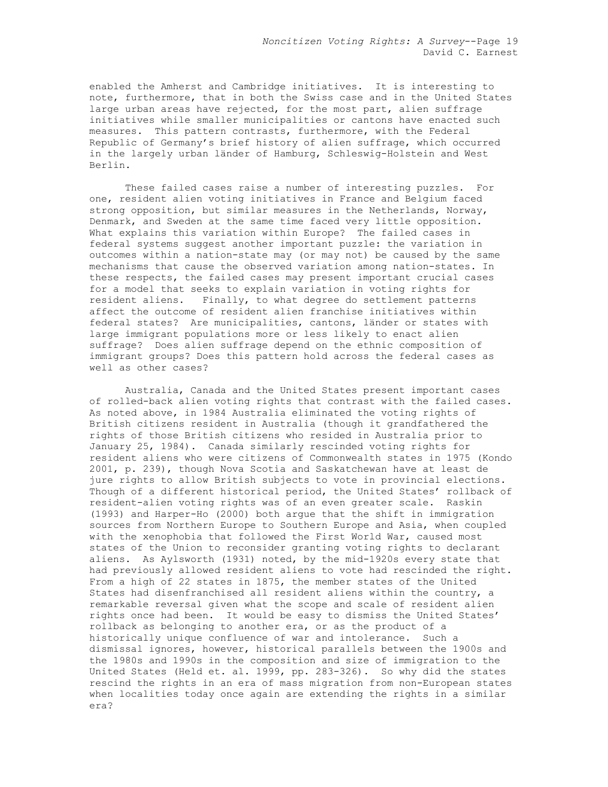enabled the Amherst and Cambridge initiatives. It is interesting to note, furthermore, that in both the Swiss case and in the United States large urban areas have rejected, for the most part, alien suffrage initiatives while smaller municipalities or cantons have enacted such measures. This pattern contrasts, furthermore, with the Federal Republic of Germany's brief history of alien suffrage, which occurred in the largely urban länder of Hamburg, Schleswig-Holstein and West Berlin.

 These failed cases raise a number of interesting puzzles. For one, resident alien voting initiatives in France and Belgium faced strong opposition, but similar measures in the Netherlands, Norway, Denmark, and Sweden at the same time faced very little opposition. What explains this variation within Europe? The failed cases in federal systems suggest another important puzzle: the variation in outcomes within a nation-state may (or may not) be caused by the same mechanisms that cause the observed variation among nation-states. In these respects, the failed cases may present important crucial cases for a model that seeks to explain variation in voting rights for resident aliens. Finally, to what degree do settlement patterns affect the outcome of resident alien franchise initiatives within federal states? Are municipalities, cantons, länder or states with large immigrant populations more or less likely to enact alien suffrage? Does alien suffrage depend on the ethnic composition of immigrant groups? Does this pattern hold across the federal cases as well as other cases?

 Australia, Canada and the United States present important cases of rolled-back alien voting rights that contrast with the failed cases. As noted above, in 1984 Australia eliminated the voting rights of British citizens resident in Australia (though it grandfathered the rights of those British citizens who resided in Australia prior to January 25, 1984). Canada similarly rescinded voting rights for resident aliens who were citizens of Commonwealth states in 1975 (Kondo 2001, p. 239), though Nova Scotia and Saskatchewan have at least de jure rights to allow British subjects to vote in provincial elections. Though of a different historical period, the United States' rollback of resident-alien voting rights was of an even greater scale. Raskin (1993) and Harper-Ho (2000) both argue that the shift in immigration sources from Northern Europe to Southern Europe and Asia, when coupled with the xenophobia that followed the First World War, caused most states of the Union to reconsider granting voting rights to declarant aliens. As Aylsworth (1931) noted, by the mid-1920s every state that had previously allowed resident aliens to vote had rescinded the right. From a high of 22 states in 1875, the member states of the United States had disenfranchised all resident aliens within the country, a remarkable reversal given what the scope and scale of resident alien rights once had been. It would be easy to dismiss the United States' rollback as belonging to another era, or as the product of a historically unique confluence of war and intolerance. Such a dismissal ignores, however, historical parallels between the 1900s and the 1980s and 1990s in the composition and size of immigration to the United States (Held et. al. 1999, pp. 283-326). So why did the states rescind the rights in an era of mass migration from non-European states when localities today once again are extending the rights in a similar era?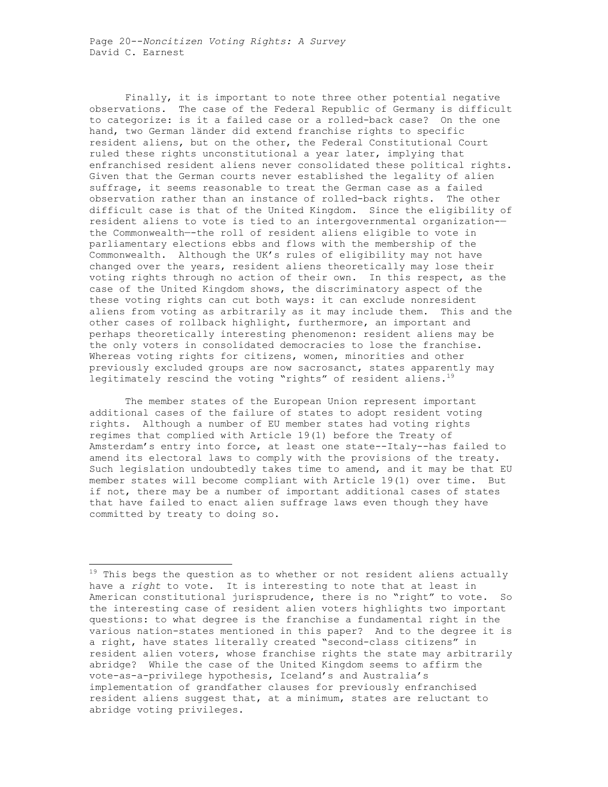Finally, it is important to note three other potential negative observations. The case of the Federal Republic of Germany is difficult to categorize: is it a failed case or a rolled-back case? On the one hand, two German länder did extend franchise rights to specific resident aliens, but on the other, the Federal Constitutional Court ruled these rights unconstitutional a year later, implying that enfranchised resident aliens never consolidated these political rights. Given that the German courts never established the legality of alien suffrage, it seems reasonable to treat the German case as a failed observation rather than an instance of rolled-back rights. The other difficult case is that of the United Kingdom. Since the eligibility of resident aliens to vote is tied to an intergovernmental organization- the Commonwealth—-the roll of resident aliens eligible to vote in parliamentary elections ebbs and flows with the membership of the Commonwealth. Although the UK's rules of eligibility may not have changed over the years, resident aliens theoretically may lose their voting rights through no action of their own. In this respect, as the case of the United Kingdom shows, the discriminatory aspect of the these voting rights can cut both ways: it can exclude nonresident aliens from voting as arbitrarily as it may include them. This and the other cases of rollback highlight, furthermore, an important and perhaps theoretically interesting phenomenon: resident aliens may be the only voters in consolidated democracies to lose the franchise. Whereas voting rights for citizens, women, minorities and other previously excluded groups are now sacrosanct, states apparently may legitimately rescind the voting "rights" of resident aliens. $19$ 

 The member states of the European Union represent important additional cases of the failure of states to adopt resident voting rights. Although a number of EU member states had voting rights regimes that complied with Article 19(1) before the Treaty of Amsterdam's entry into force, at least one state--Italy--has failed to amend its electoral laws to comply with the provisions of the treaty. Such legislation undoubtedly takes time to amend, and it may be that EU member states will become compliant with Article 19(1) over time. But if not, there may be a number of important additional cases of states that have failed to enact alien suffrage laws even though they have committed by treaty to doing so.

 $19$  This begs the question as to whether or not resident aliens actually have a *right* to vote. It is interesting to note that at least in American constitutional jurisprudence, there is no "right" to vote. So the interesting case of resident alien voters highlights two important questions: to what degree is the franchise a fundamental right in the various nation-states mentioned in this paper? And to the degree it is a right, have states literally created "second-class citizens" in resident alien voters, whose franchise rights the state may arbitrarily abridge? While the case of the United Kingdom seems to affirm the vote-as-a-privilege hypothesis, Iceland's and Australia's implementation of grandfather clauses for previously enfranchised resident aliens suggest that, at a minimum, states are reluctant to abridge voting privileges.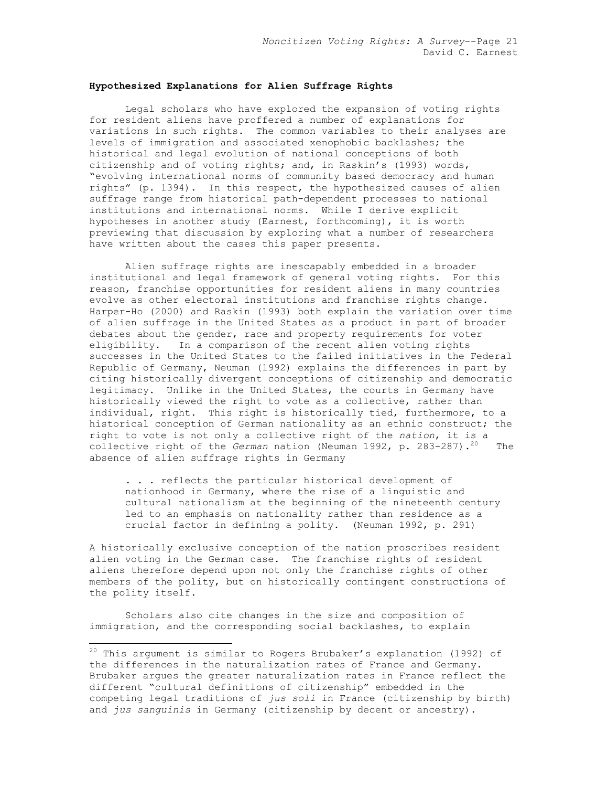### **Hypothesized Explanations for Alien Suffrage Rights**

Legal scholars who have explored the expansion of voting rights for resident aliens have proffered a number of explanations for variations in such rights. The common variables to their analyses are levels of immigration and associated xenophobic backlashes; the historical and legal evolution of national conceptions of both citizenship and of voting rights; and, in Raskin's (1993) words, "evolving international norms of community based democracy and human rights" (p. 1394). In this respect, the hypothesized causes of alien suffrage range from historical path-dependent processes to national institutions and international norms. While I derive explicit hypotheses in another study (Earnest, forthcoming), it is worth previewing that discussion by exploring what a number of researchers have written about the cases this paper presents.

 Alien suffrage rights are inescapably embedded in a broader institutional and legal framework of general voting rights. For this reason, franchise opportunities for resident aliens in many countries evolve as other electoral institutions and franchise rights change. Harper-Ho (2000) and Raskin (1993) both explain the variation over time of alien suffrage in the United States as a product in part of broader debates about the gender, race and property requirements for voter eligibility. In a comparison of the recent alien voting rights successes in the United States to the failed initiatives in the Federal Republic of Germany, Neuman (1992) explains the differences in part by citing historically divergent conceptions of citizenship and democratic legitimacy. Unlike in the United States, the courts in Germany have historically viewed the right to vote as a collective, rather than individual, right. This right is historically tied, furthermore, to a historical conception of German nationality as an ethnic construct; the right to vote is not only a collective right of the *nation*, it is a collective right of the *German* nation (Neuman 1992, p. 283-287).<sup>20</sup> The absence of alien suffrage rights in Germany

. . . reflects the particular historical development of nationhood in Germany, where the rise of a linguistic and cultural nationalism at the beginning of the nineteenth century led to an emphasis on nationality rather than residence as a crucial factor in defining a polity. (Neuman 1992, p. 291)

A historically exclusive conception of the nation proscribes resident alien voting in the German case. The franchise rights of resident aliens therefore depend upon not only the franchise rights of other members of the polity, but on historically contingent constructions of the polity itself.

 Scholars also cite changes in the size and composition of immigration, and the corresponding social backlashes, to explain

1

 $^{20}$  This argument is similar to Rogers Brubaker's explanation (1992) of the differences in the naturalization rates of France and Germany. Brubaker argues the greater naturalization rates in France reflect the different "cultural definitions of citizenship" embedded in the competing legal traditions of *jus soli* in France (citizenship by birth) and *jus sanguinis* in Germany (citizenship by decent or ancestry).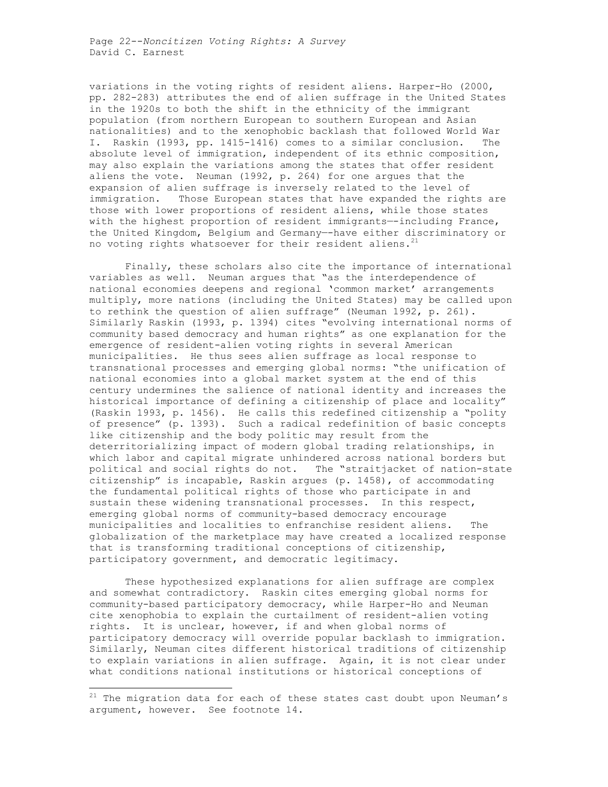Page 22--*Noncitizen Voting Rights: A Survey*  David C. Earnest

variations in the voting rights of resident aliens. Harper-Ho (2000, pp. 282-283) attributes the end of alien suffrage in the United States in the 1920s to both the shift in the ethnicity of the immigrant population (from northern European to southern European and Asian nationalities) and to the xenophobic backlash that followed World War I. Raskin (1993, pp. 1415-1416) comes to a similar conclusion. The absolute level of immigration, independent of its ethnic composition, may also explain the variations among the states that offer resident aliens the vote. Neuman (1992, p. 264) for one argues that the expansion of alien suffrage is inversely related to the level of immigration. Those European states that have expanded the rights are those with lower proportions of resident aliens, while those states with the highest proportion of resident immigrants--including France, the United Kingdom, Belgium and Germany—-have either discriminatory or no voting rights whatsoever for their resident aliens.<sup>21</sup>

 Finally, these scholars also cite the importance of international variables as well. Neuman argues that "as the interdependence of national economies deepens and regional 'common market' arrangements multiply, more nations (including the United States) may be called upon to rethink the question of alien suffrage" (Neuman 1992, p. 261). Similarly Raskin (1993, p. 1394) cites "evolving international norms of community based democracy and human rights" as one explanation for the emergence of resident-alien voting rights in several American municipalities. He thus sees alien suffrage as local response to transnational processes and emerging global norms: "the unification of national economies into a global market system at the end of this century undermines the salience of national identity and increases the historical importance of defining a citizenship of place and locality" (Raskin 1993, p. 1456). He calls this redefined citizenship a "polity of presence" (p. 1393). Such a radical redefinition of basic concepts like citizenship and the body politic may result from the deterritorializing impact of modern global trading relationships, in which labor and capital migrate unhindered across national borders but political and social rights do not. The "straitjacket of nation-state citizenship" is incapable, Raskin argues (p. 1458), of accommodating the fundamental political rights of those who participate in and sustain these widening transnational processes. In this respect, emerging global norms of community-based democracy encourage municipalities and localities to enfranchise resident aliens. The globalization of the marketplace may have created a localized response that is transforming traditional conceptions of citizenship, participatory government, and democratic legitimacy.

 These hypothesized explanations for alien suffrage are complex and somewhat contradictory. Raskin cites emerging global norms for community-based participatory democracy, while Harper-Ho and Neuman cite xenophobia to explain the curtailment of resident-alien voting rights. It is unclear, however, if and when global norms of participatory democracy will override popular backlash to immigration. Similarly, Neuman cites different historical traditions of citizenship to explain variations in alien suffrage. Again, it is not clear under what conditions national institutions or historical conceptions of

 $21$  The migration data for each of these states cast doubt upon Neuman's argument, however. See footnote 14.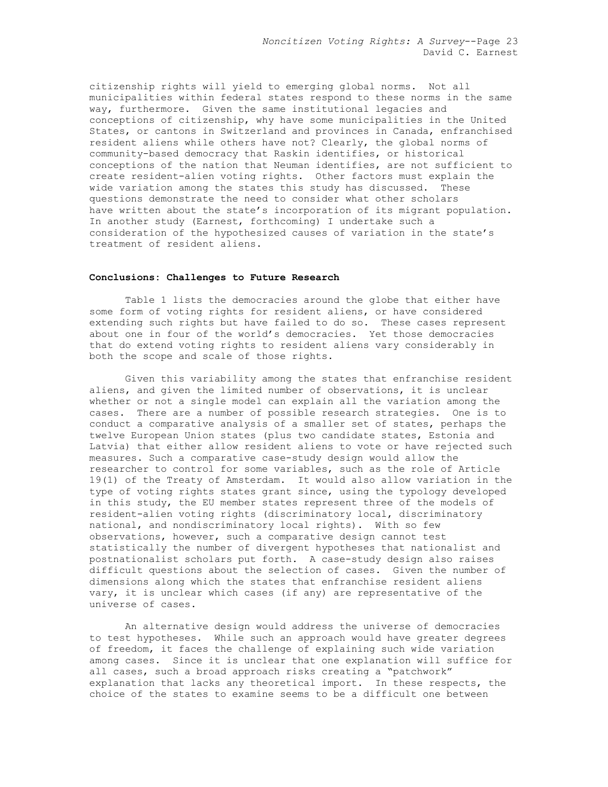citizenship rights will yield to emerging global norms. Not all municipalities within federal states respond to these norms in the same way, furthermore. Given the same institutional legacies and conceptions of citizenship, why have some municipalities in the United States, or cantons in Switzerland and provinces in Canada, enfranchised resident aliens while others have not? Clearly, the global norms of community-based democracy that Raskin identifies, or historical conceptions of the nation that Neuman identifies, are not sufficient to create resident-alien voting rights. Other factors must explain the wide variation among the states this study has discussed. These questions demonstrate the need to consider what other scholars have written about the state's incorporation of its migrant population. In another study (Earnest, forthcoming) I undertake such a consideration of the hypothesized causes of variation in the state's treatment of resident aliens.

### **Conclusions: Challenges to Future Research**

Table 1 lists the democracies around the globe that either have some form of voting rights for resident aliens, or have considered extending such rights but have failed to do so. These cases represent about one in four of the world's democracies. Yet those democracies that do extend voting rights to resident aliens vary considerably in both the scope and scale of those rights.

 Given this variability among the states that enfranchise resident aliens, and given the limited number of observations, it is unclear whether or not a single model can explain all the variation among the cases. There are a number of possible research strategies. One is to conduct a comparative analysis of a smaller set of states, perhaps the twelve European Union states (plus two candidate states, Estonia and Latvia) that either allow resident aliens to vote or have rejected such measures. Such a comparative case-study design would allow the researcher to control for some variables, such as the role of Article 19(1) of the Treaty of Amsterdam. It would also allow variation in the type of voting rights states grant since, using the typology developed in this study, the EU member states represent three of the models of resident-alien voting rights (discriminatory local, discriminatory national, and nondiscriminatory local rights). With so few observations, however, such a comparative design cannot test statistically the number of divergent hypotheses that nationalist and postnationalist scholars put forth. A case-study design also raises difficult questions about the selection of cases. Given the number of dimensions along which the states that enfranchise resident aliens vary, it is unclear which cases (if any) are representative of the universe of cases.

An alternative design would address the universe of democracies to test hypotheses. While such an approach would have greater degrees of freedom, it faces the challenge of explaining such wide variation among cases. Since it is unclear that one explanation will suffice for all cases, such a broad approach risks creating a "patchwork" explanation that lacks any theoretical import. In these respects, the choice of the states to examine seems to be a difficult one between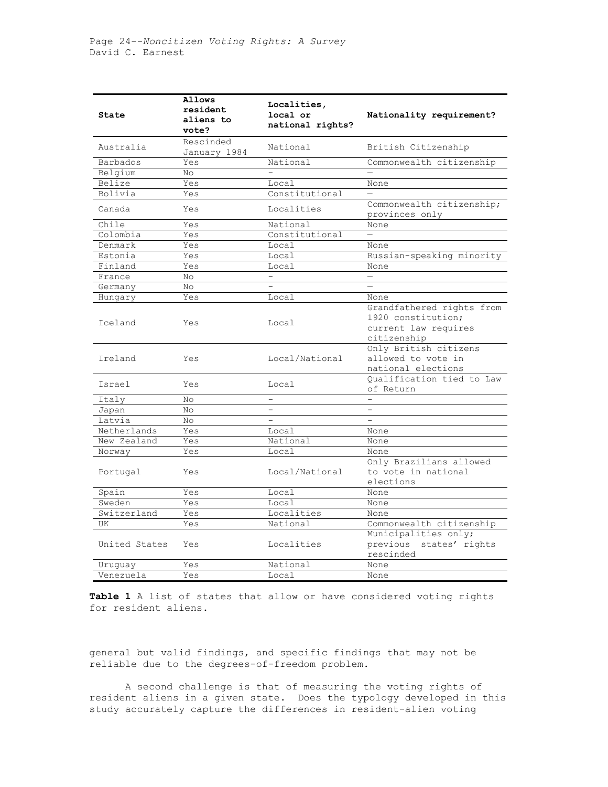| State         | Allows<br>resident<br>aliens to<br>vote? | Localities,<br>local or<br>national rights? | Nationality requirement?                                                               |
|---------------|------------------------------------------|---------------------------------------------|----------------------------------------------------------------------------------------|
| Australia     | Rescinded<br>January 1984                | National                                    | British Citizenship                                                                    |
| Barbados      | Yes                                      | National                                    | Commonwealth citizenship                                                               |
| Belgium       | No.                                      |                                             |                                                                                        |
| Belize        | Yes                                      | Local                                       | None                                                                                   |
| Bolivia       | Yes                                      | Constitutional                              | $\equiv$                                                                               |
| Canada        | Yes                                      | Localities                                  | Commonwealth citizenship;<br>provinces only                                            |
| Chile         | Yes                                      | National                                    | None                                                                                   |
| Colombia      | Yes                                      | Constitutional                              | $\equiv$                                                                               |
| Denmark       | Yes                                      | Local                                       | None                                                                                   |
| Estonia       | Yes                                      | Local                                       | Russian-speaking minority                                                              |
| Finland       | Yes                                      | Local                                       | None                                                                                   |
| France        | No                                       |                                             |                                                                                        |
| Germany       | No.                                      |                                             |                                                                                        |
| Hungary       | Yes                                      | Local                                       | None                                                                                   |
| Iceland       | Yes                                      | Local                                       | Grandfathered rights from<br>1920 constitution;<br>current law requires<br>citizenship |
| Ireland       | Yes                                      | Local/National                              | Only British citizens<br>allowed to vote in<br>national elections                      |
| Israel        | Yes                                      | Local                                       | Oualification tied to Law<br>of Return                                                 |
| Italy         | No                                       |                                             |                                                                                        |
| Japan         | No                                       | -                                           |                                                                                        |
| Latvia        | No.                                      |                                             | $\equiv$                                                                               |
| Netherlands   | Yes                                      | Local                                       | None                                                                                   |
| New Zealand   | Yes                                      | National                                    | None                                                                                   |
| Norway        | Yes                                      | Local                                       | None                                                                                   |
| Portugal      | Yes                                      | Local/National                              | Only Brazilians allowed<br>to vote in national<br>elections                            |
| Spain         | Yes                                      | Local                                       | None                                                                                   |
| Sweden        | Yes                                      | Local                                       | None                                                                                   |
| Switzerland   | Yes                                      | Localities                                  | None                                                                                   |
| UK            | Yes                                      | National                                    | Commonwealth citizenship                                                               |
| United States | Yes                                      | Localities                                  | Municipalities only;<br>previous<br>states' rights<br>rescinded                        |
| Uruguay       | Yes                                      | National                                    | None                                                                                   |
| Venezuela     | Yes                                      | Local                                       | None                                                                                   |

**Table 1** A list of states that allow or have considered voting rights for resident aliens.

general but valid findings, and specific findings that may not be reliable due to the degrees-of-freedom problem.

 A second challenge is that of measuring the voting rights of resident aliens in a given state. Does the typology developed in this study accurately capture the differences in resident-alien voting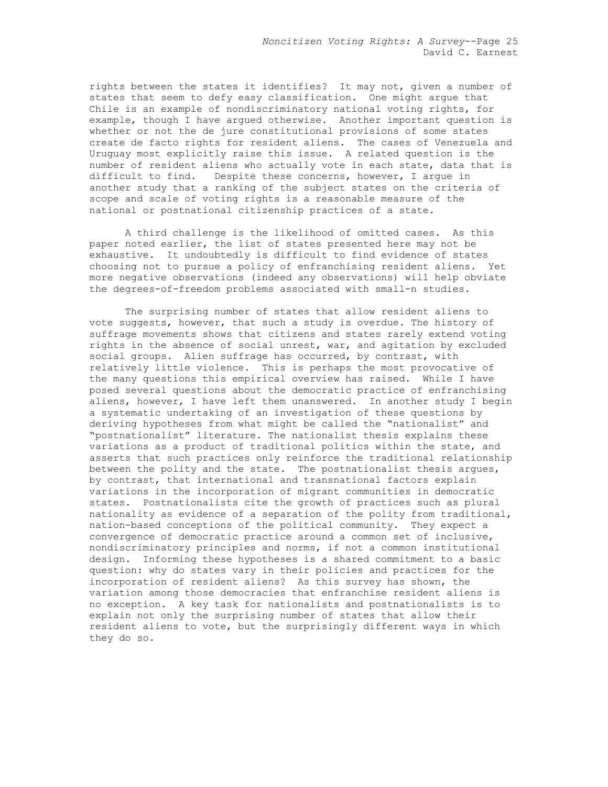rights between the states it identifies? It may not, given a number of states that seem to defy easy classification. One might argue that Chile is an example of nondiscriminatory national voting rights, for example, though I have argued otherwise. Another important question is whether or not the de jure constitutional provisions of some states create de facto rights for resident aliens. The cases of Venezuela and Uruguay most explicitly raise this issue. A related question is the number of resident aliens who actually vote in each state, data that is difficult to find. Despite these concerns, however, I argue in another study that a ranking of the subject states on the criteria of scope and scale of voting rights is a reasonable measure of the national or postnational citizenship practices of a state.

 A third challenge is the likelihood of omitted cases. As this paper noted earlier, the list of states presented here may not be exhaustive. It undoubtedly is difficult to find evidence of states choosing not to pursue a policy of enfranchising resident aliens. Yet more negative observations (indeed any observations) will help obviate the degrees-of-freedom problems associated with small-n studies.

The surprising number of states that allow resident aliens to vote suggests, however, that such a study is overdue. The history of suffrage movements shows that citizens and states rarely extend voting rights in the absence of social unrest, war, and agitation by excluded social groups. Alien suffrage has occurred, by contrast, with relatively little violence. This is perhaps the most provocative of the many questions this empirical overview has raised. While I have posed several questions about the democratic practice of enfranchising aliens, however, I have left them unanswered. In another study I begin a systematic undertaking of an investigation of these questions by deriving hypotheses from what might be called the "nationalist" and "postnationalist" literature. The nationalist thesis explains these variations as a product of traditional politics within the state, and asserts that such practices only reinforce the traditional relationship between the polity and the state. The postnationalist thesis argues, by contrast, that international and transnational factors explain variations in the incorporation of migrant communities in democratic states. Postnationalists cite the growth of practices such as plural nationality as evidence of a separation of the polity from traditional, nation-based conceptions of the political community. They expect a convergence of democratic practice around a common set of inclusive, nondiscriminatory principles and norms, if not a common institutional design. Informing these hypotheses is a shared commitment to a basic question: why do states vary in their policies and practices for the incorporation of resident aliens? As this survey has shown, the variation among those democracies that enfranchise resident aliens is no exception. A key task for nationalists and postnationalists is to explain not only the surprising number of states that allow their resident aliens to vote, but the surprisingly different ways in which they do so.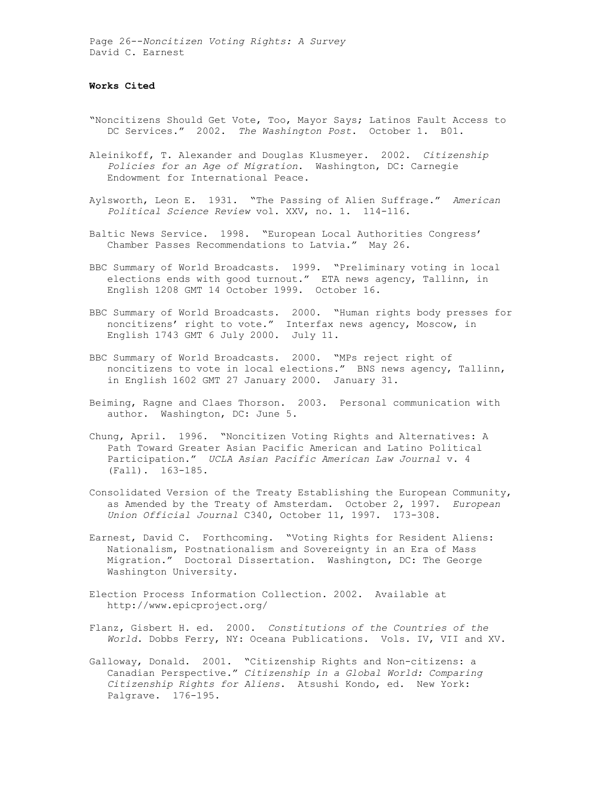Page 26--*Noncitizen Voting Rights: A Survey*  David C. Earnest

### **Works Cited**

- "Noncitizens Should Get Vote, Too, Mayor Says; Latinos Fault Access to DC Services." 2002. *The Washington Post*. October 1. B01.
- Aleinikoff, T. Alexander and Douglas Klusmeyer. 2002. *Citizenship Policies for an Age of Migration*. Washington, DC: Carnegie Endowment for International Peace.
- Aylsworth, Leon E. 1931. "The Passing of Alien Suffrage." *American Political Science Review* vol. XXV, no. 1. 114-116.
- Baltic News Service. 1998. "European Local Authorities Congress' Chamber Passes Recommendations to Latvia." May 26.
- BBC Summary of World Broadcasts. 1999. "Preliminary voting in local elections ends with good turnout." ETA news agency, Tallinn, in English 1208 GMT 14 October 1999. October 16.
- BBC Summary of World Broadcasts. 2000. "Human rights body presses for noncitizens' right to vote." Interfax news agency, Moscow, in English 1743 GMT 6 July 2000. July 11.
- BBC Summary of World Broadcasts. 2000. "MPs reject right of noncitizens to vote in local elections." BNS news agency, Tallinn, in English 1602 GMT 27 January 2000. January 31.
- Beiming, Ragne and Claes Thorson. 2003. Personal communication with author. Washington, DC: June 5.
- Chung, April. 1996. "Noncitizen Voting Rights and Alternatives: A Path Toward Greater Asian Pacific American and Latino Political Participation." *UCLA Asian Pacific American Law Journal* v. 4 (Fall). 163-185.
- Consolidated Version of the Treaty Establishing the European Community, as Amended by the Treaty of Amsterdam. October 2, 1997. *European Union Official Journal* C340, October 11, 1997. 173-308.
- Earnest, David C. Forthcoming. "Voting Rights for Resident Aliens: Nationalism, Postnationalism and Sovereignty in an Era of Mass Migration." Doctoral Dissertation. Washington, DC: The George Washington University.
- Election Process Information Collection. 2002. Available at http://www.epicproject.org/
- Flanz, Gisbert H. ed. 2000. *Constitutions of the Countries of the World*. Dobbs Ferry, NY: Oceana Publications. Vols. IV, VII and XV.
- Galloway, Donald. 2001. "Citizenship Rights and Non-citizens: a Canadian Perspective." *Citizenship in a Global World: Comparing Citizenship Rights for Aliens*. Atsushi Kondo, ed. New York: Palgrave. 176-195.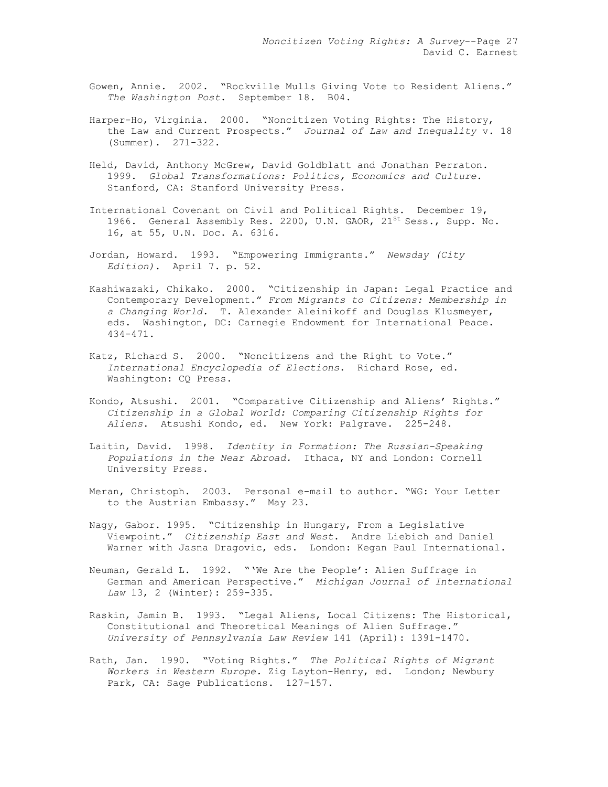- Gowen, Annie. 2002. "Rockville Mulls Giving Vote to Resident Aliens." *The Washington Post*. September 18. B04.
- Harper-Ho, Virginia. 2000. "Noncitizen Voting Rights: The History, the Law and Current Prospects." *Journal of Law and Inequality* v. 18 (Summer). 271-322.
- Held, David, Anthony McGrew, David Goldblatt and Jonathan Perraton. 1999. *Global Transformations: Politics, Economics and Culture.* Stanford, CA: Stanford University Press.
- International Covenant on Civil and Political Rights. December 19, 1966. General Assembly Res. 2200, U.N. GAOR,  $21^{st}$  Sess., Supp. No. 16, at 55, U.N. Doc. A. 6316.
- Jordan, Howard. 1993. "Empowering Immigrants." *Newsday (City Edition)*. April 7. p. 52.
- Kashiwazaki, Chikako. 2000. "Citizenship in Japan: Legal Practice and Contemporary Development." *From Migrants to Citizens: Membership in a Changing World.* T. Alexander Aleinikoff and Douglas Klusmeyer, eds. Washington, DC: Carnegie Endowment for International Peace. 434-471.
- Katz, Richard S. 2000. "Noncitizens and the Right to Vote." *International Encyclopedia of Elections*. Richard Rose, ed. Washington: CQ Press.
- Kondo, Atsushi. 2001. "Comparative Citizenship and Aliens' Rights." *Citizenship in a Global World: Comparing Citizenship Rights for Aliens*. Atsushi Kondo, ed. New York: Palgrave. 225-248.
- Laitin, David. 1998. *Identity in Formation: The Russian-Speaking Populations in the Near Abroad.* Ithaca, NY and London: Cornell University Press.
- Meran, Christoph. 2003. Personal e-mail to author. "WG: Your Letter to the Austrian Embassy." May 23.
- Nagy, Gabor. 1995. "Citizenship in Hungary, From a Legislative Viewpoint." *Citizenship East and West*. Andre Liebich and Daniel Warner with Jasna Dragovic, eds. London: Kegan Paul International.
- Neuman, Gerald L. 1992. "'We Are the People': Alien Suffrage in German and American Perspective." *Michigan Journal of International Law* 13, 2 (Winter): 259-335.
- Raskin, Jamin B. 1993. "Legal Aliens, Local Citizens: The Historical, Constitutional and Theoretical Meanings of Alien Suffrage." *University of Pennsylvania Law Review* 141 (April): 1391-1470.
- Rath, Jan. 1990. "Voting Rights." *The Political Rights of Migrant Workers in Western Europe.* Zig Layton-Henry, ed. London; Newbury Park, CA: Sage Publications. 127-157.